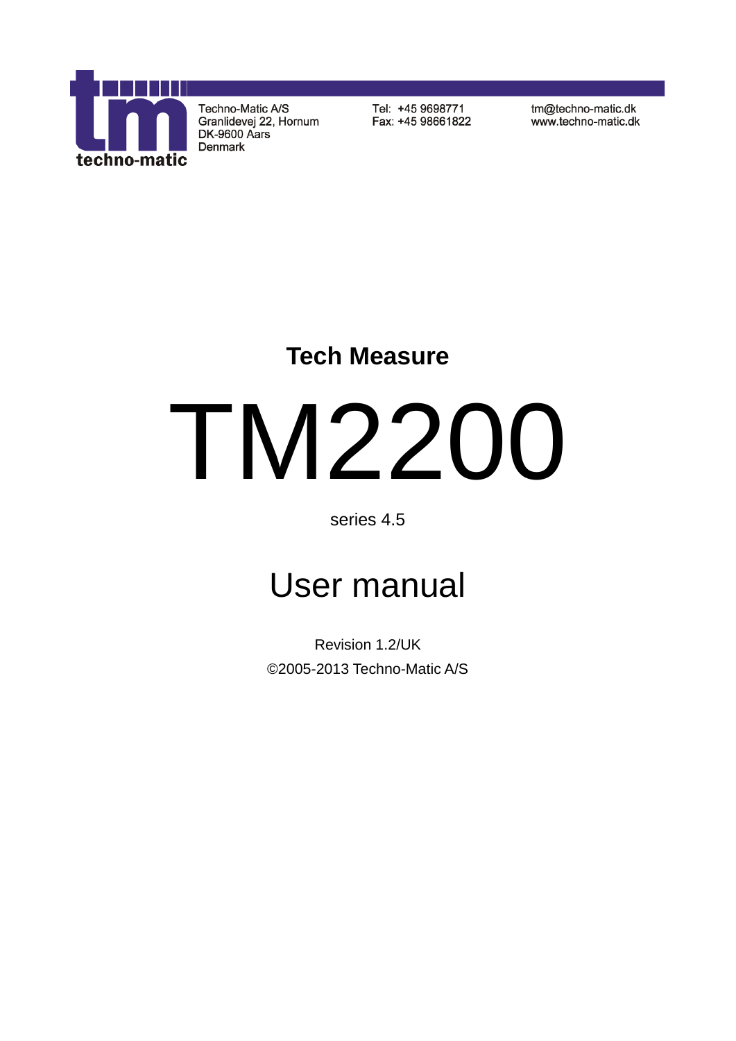

Techno-Matic A/S Granlidevej 22, Hornum DK-9600 Aars Denmark

Tel: +45 9698771 Fax: +45 98661822 tm@techno-matic.dk www.techno-matic.dk

# **Tech Measure**

# TM2200

# series 4.5

# User manual

Revision 1.2/UK ©2005-2013 Techno-Matic A/S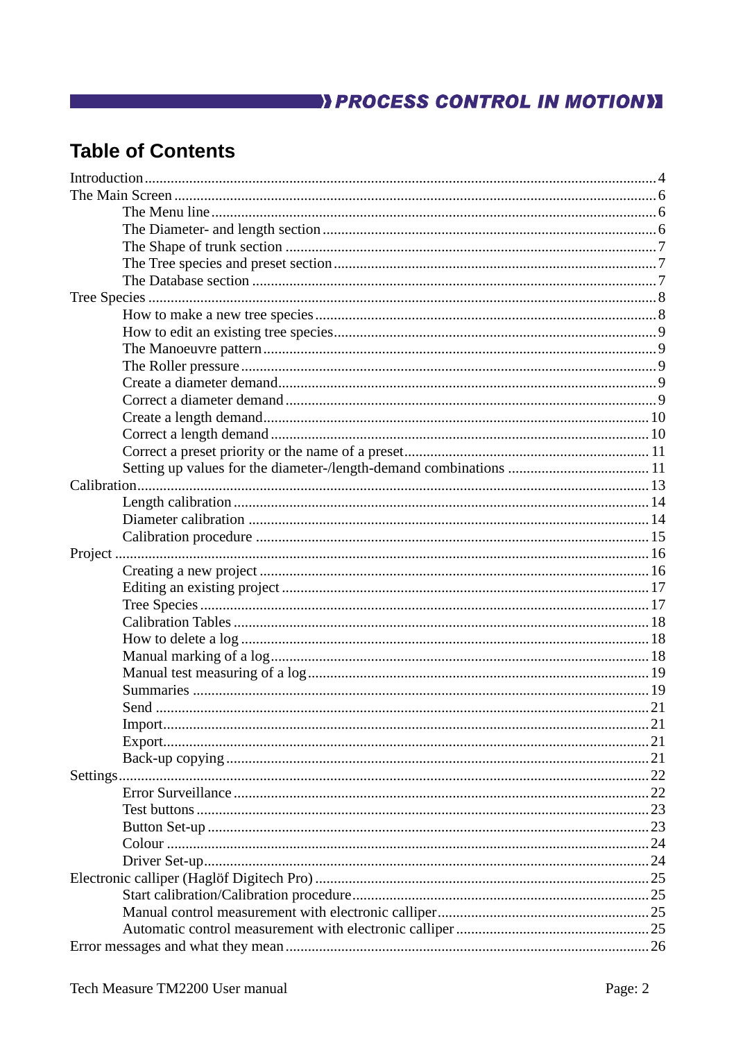# **EXAMPLE 2018 THE STATE OF A PROCESS CONTROL IN MOTION)**

# **Table of Contents**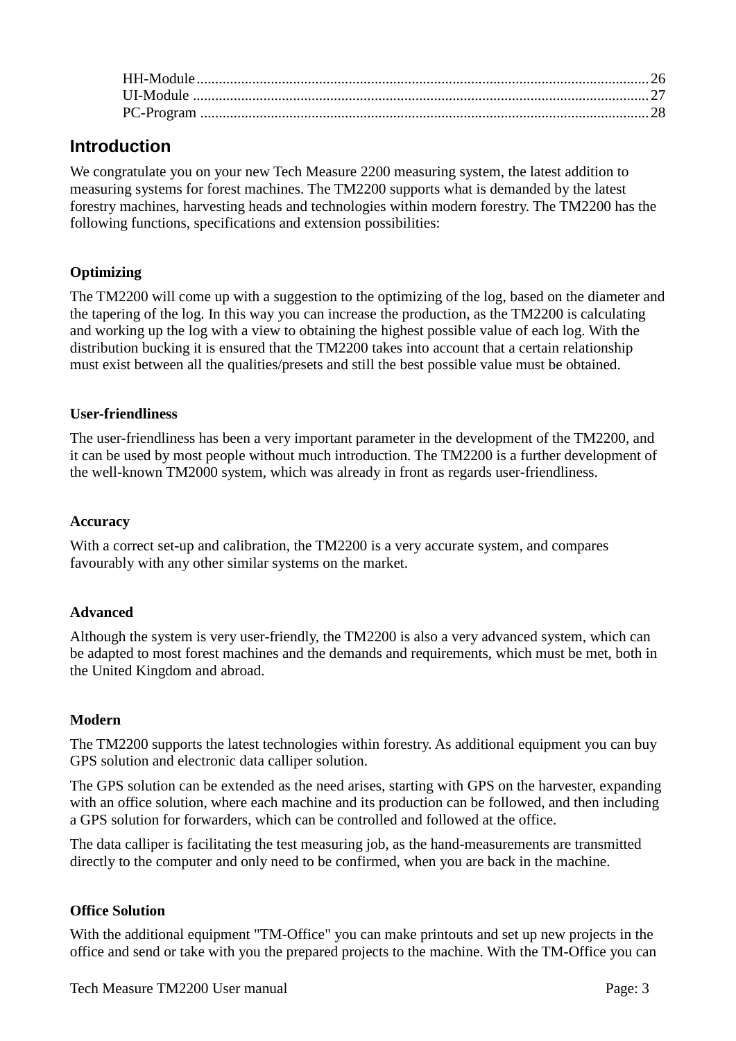# **Introduction**

We congratulate you on your new Tech Measure 2200 measuring system, the latest addition to measuring systems for forest machines. The TM2200 supports what is demanded by the latest forestry machines, harvesting heads and technologies within modern forestry. The TM2200 has the following functions, specifications and extension possibilities:

# **Optimizing**

The TM2200 will come up with a suggestion to the optimizing of the log, based on the diameter and the tapering of the log. In this way you can increase the production, as the TM2200 is calculating and working up the log with a view to obtaining the highest possible value of each log. With the distribution bucking it is ensured that the TM2200 takes into account that a certain relationship must exist between all the qualities/presets and still the best possible value must be obtained.

### **User-friendliness**

The user-friendliness has been a very important parameter in the development of the TM2200, and it can be used by most people without much introduction. The TM2200 is a further development of the well-known TM2000 system, which was already in front as regards user-friendliness.

### **Accuracy**

With a correct set-up and calibration, the TM2200 is a very accurate system, and compares favourably with any other similar systems on the market.

# **Advanced**

Although the system is very user-friendly, the TM2200 is also a very advanced system, which can be adapted to most forest machines and the demands and requirements, which must be met, both in the United Kingdom and abroad.

### **Modern**

The TM2200 supports the latest technologies within forestry. As additional equipment you can buy GPS solution and electronic data calliper solution.

The GPS solution can be extended as the need arises, starting with GPS on the harvester, expanding with an office solution, where each machine and its production can be followed, and then including a GPS solution for forwarders, which can be controlled and followed at the office.

The data calliper is facilitating the test measuring job, as the hand-measurements are transmitted directly to the computer and only need to be confirmed, when you are back in the machine.

### **Office Solution**

With the additional equipment "TM-Office" you can make printouts and set up new projects in the office and send or take with you the prepared projects to the machine. With the TM-Office you can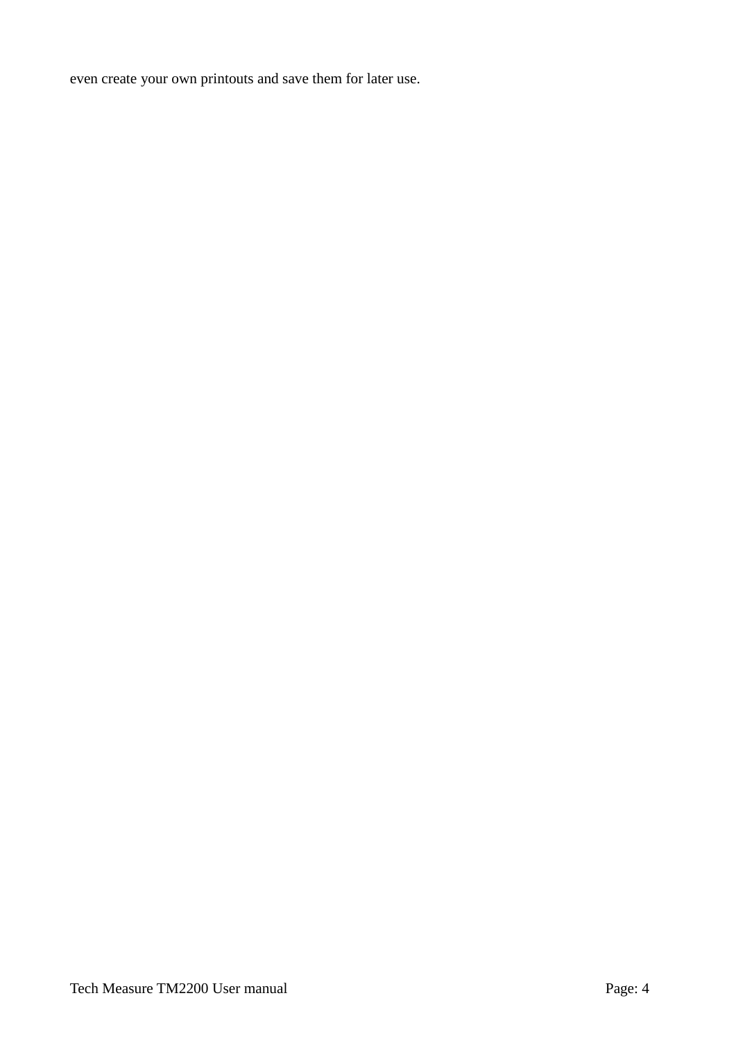even create your own printouts and save them for later use.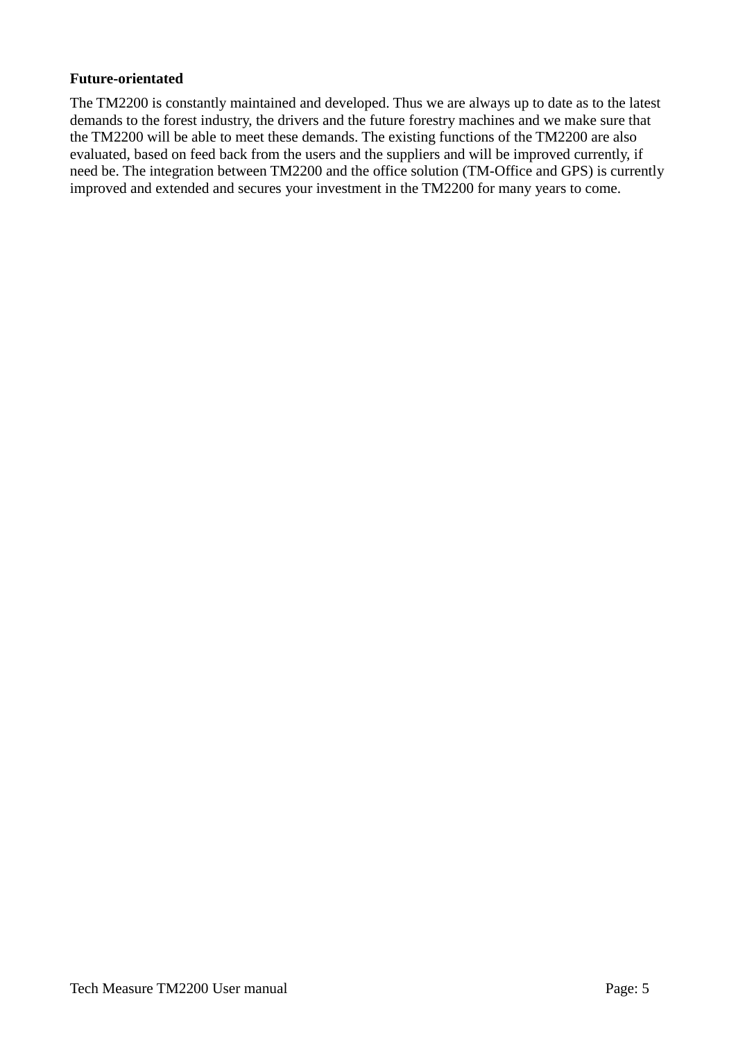### **Future-orientated**

The TM2200 is constantly maintained and developed. Thus we are always up to date as to the latest demands to the forest industry, the drivers and the future forestry machines and we make sure that the TM2200 will be able to meet these demands. The existing functions of the TM2200 are also evaluated, based on feed back from the users and the suppliers and will be improved currently, if need be. The integration between TM2200 and the office solution (TM-Office and GPS) is currently improved and extended and secures your investment in the TM2200 for many years to come.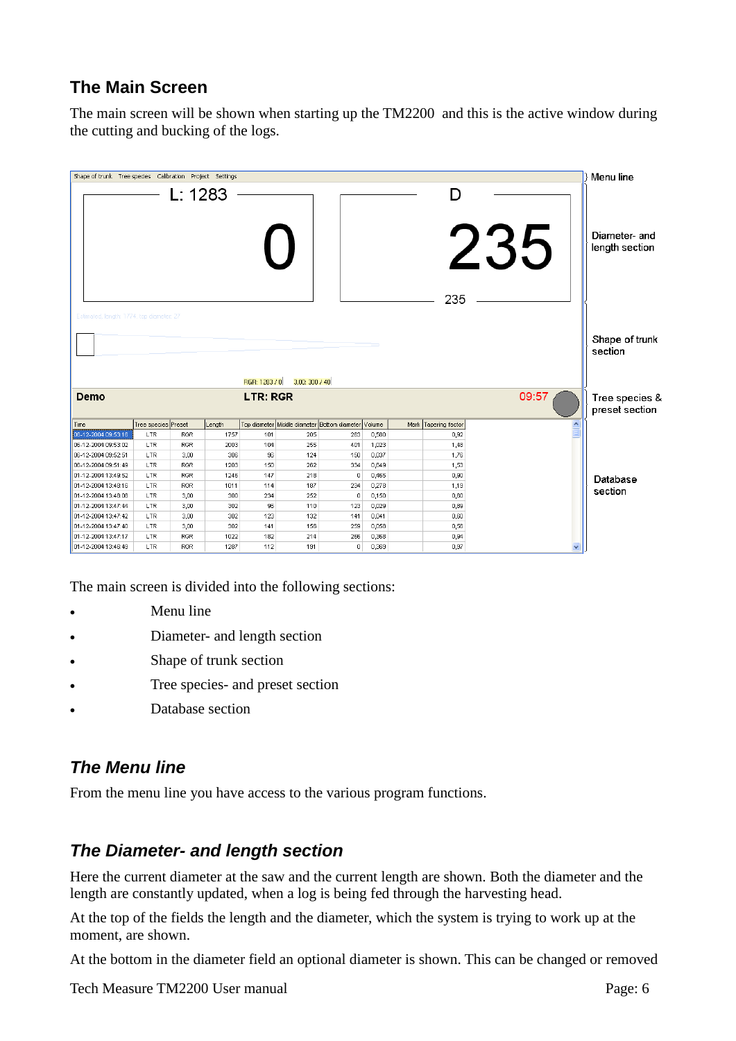# **The Main Screen**

The main screen will be shown when starting up the TM2200 and this is the active window during the cutting and bucking of the logs.



The main screen is divided into the following sections:

- Menu line
- Diameter- and length section
- Shape of trunk section
- Tree species- and preset section
- Database section

# *The Menu line*

From the menu line you have access to the various program functions.

# *The Diameter- and length section*

Here the current diameter at the saw and the current length are shown. Both the diameter and the length are constantly updated, when a log is being fed through the harvesting head.

At the top of the fields the length and the diameter, which the system is trying to work up at the moment, are shown.

At the bottom in the diameter field an optional diameter is shown. This can be changed or removed

Tech Measure TM2200 User manual Page: 6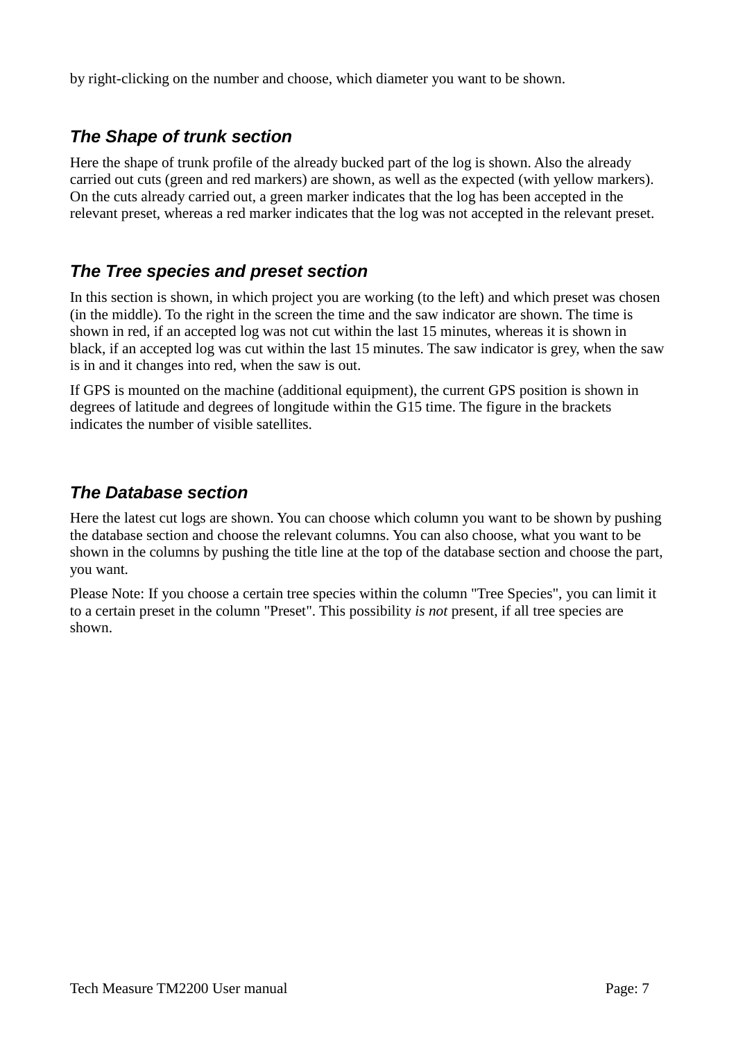by right-clicking on the number and choose, which diameter you want to be shown.

# *The Shape of trunk section*

Here the shape of trunk profile of the already bucked part of the log is shown. Also the already carried out cuts (green and red markers) are shown, as well as the expected (with yellow markers). On the cuts already carried out, a green marker indicates that the log has been accepted in the relevant preset, whereas a red marker indicates that the log was not accepted in the relevant preset.

# *The Tree species and preset section*

In this section is shown, in which project you are working (to the left) and which preset was chosen (in the middle). To the right in the screen the time and the saw indicator are shown. The time is shown in red, if an accepted log was not cut within the last 15 minutes, whereas it is shown in black, if an accepted log was cut within the last 15 minutes. The saw indicator is grey, when the saw is in and it changes into red, when the saw is out.

If GPS is mounted on the machine (additional equipment), the current GPS position is shown in degrees of latitude and degrees of longitude within the G15 time. The figure in the brackets indicates the number of visible satellites.

# *The Database section*

Here the latest cut logs are shown. You can choose which column you want to be shown by pushing the database section and choose the relevant columns. You can also choose, what you want to be shown in the columns by pushing the title line at the top of the database section and choose the part, you want.

Please Note: If you choose a certain tree species within the column "Tree Species", you can limit it to a certain preset in the column "Preset". This possibility *is not* present, if all tree species are shown.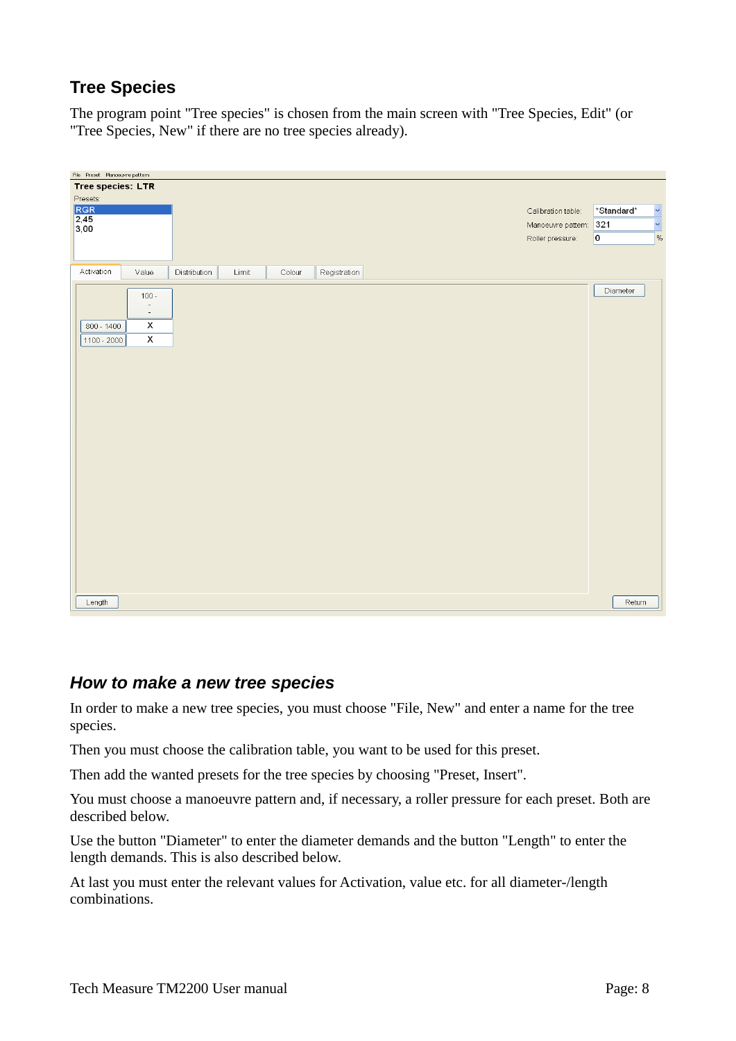# **Tree Species**

The program point "Tree species" is chosen from the main screen with "Tree Species, Edit" (or "Tree Species, New" if there are no tree species already).

| File Preset Manoeuvre pattern |                                     |              |       |        |              |  |                    |            |                      |
|-------------------------------|-------------------------------------|--------------|-------|--------|--------------|--|--------------------|------------|----------------------|
| <b>Tree species: LTR</b>      |                                     |              |       |        |              |  |                    |            |                      |
| Presets:                      |                                     |              |       |        |              |  |                    |            |                      |
| RGR                           |                                     |              |       |        |              |  | Calibration table: | *Standard* | $\ddot{\phantom{0}}$ |
| $\frac{2,45}{3,00}$           |                                     |              |       |        |              |  | Manoeuvre pattern: | 321        | $\ddot{\phantom{0}}$ |
|                               |                                     |              |       |        |              |  | Roller pressure:   | 0          | %                    |
|                               |                                     |              |       |        |              |  |                    |            |                      |
|                               |                                     |              |       |        |              |  |                    |            |                      |
| Activation                    | Value                               | Distribution | Limit | Colour | Registration |  |                    |            |                      |
|                               |                                     |              |       |        |              |  |                    | Diameter   |                      |
|                               | $100 -$<br>$\overline{\phantom{a}}$ |              |       |        |              |  |                    |            |                      |
|                               | $\sim$                              |              |       |        |              |  |                    |            |                      |
| $800 - 1400$                  | х                                   |              |       |        |              |  |                    |            |                      |
| $1100 - 2000$                 | $\pmb{\mathsf{x}}$                  |              |       |        |              |  |                    |            |                      |
|                               |                                     |              |       |        |              |  |                    |            |                      |
|                               |                                     |              |       |        |              |  |                    |            |                      |
|                               |                                     |              |       |        |              |  |                    |            |                      |
|                               |                                     |              |       |        |              |  |                    |            |                      |
|                               |                                     |              |       |        |              |  |                    |            |                      |
|                               |                                     |              |       |        |              |  |                    |            |                      |
|                               |                                     |              |       |        |              |  |                    |            |                      |
|                               |                                     |              |       |        |              |  |                    |            |                      |
|                               |                                     |              |       |        |              |  |                    |            |                      |
|                               |                                     |              |       |        |              |  |                    |            |                      |
|                               |                                     |              |       |        |              |  |                    |            |                      |
|                               |                                     |              |       |        |              |  |                    |            |                      |
|                               |                                     |              |       |        |              |  |                    |            |                      |
|                               |                                     |              |       |        |              |  |                    |            |                      |
|                               |                                     |              |       |        |              |  |                    |            |                      |
|                               |                                     |              |       |        |              |  |                    |            |                      |
|                               |                                     |              |       |        |              |  |                    |            |                      |
|                               |                                     |              |       |        |              |  |                    |            |                      |
|                               |                                     |              |       |        |              |  |                    |            |                      |
|                               |                                     |              |       |        |              |  |                    |            |                      |
| Length                        |                                     |              |       |        |              |  |                    | Return     |                      |
|                               |                                     |              |       |        |              |  |                    |            |                      |

# *How to make a new tree species*

In order to make a new tree species, you must choose "File, New" and enter a name for the tree species.

Then you must choose the calibration table, you want to be used for this preset.

Then add the wanted presets for the tree species by choosing "Preset, Insert".

You must choose a manoeuvre pattern and, if necessary, a roller pressure for each preset. Both are described below.

Use the button "Diameter" to enter the diameter demands and the button "Length" to enter the length demands. This is also described below.

At last you must enter the relevant values for Activation, value etc. for all diameter-/length combinations.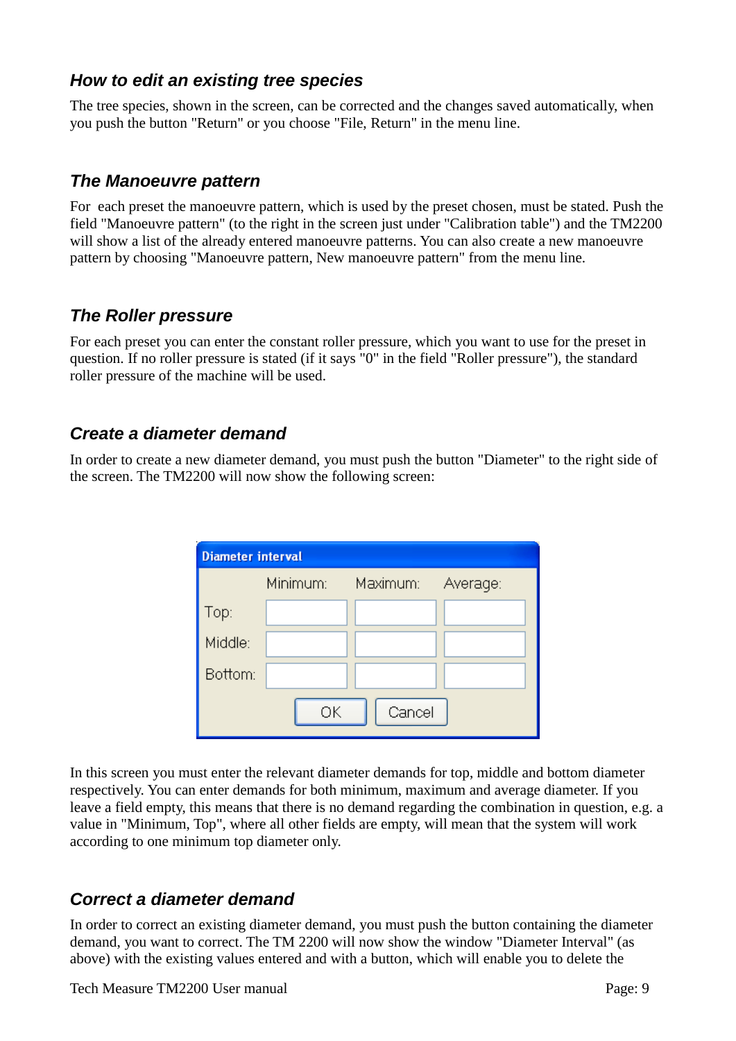# *How to edit an existing tree species*

The tree species, shown in the screen, can be corrected and the changes saved automatically, when you push the button "Return" or you choose "File, Return" in the menu line.

# *The Manoeuvre pattern*

For each preset the manoeuvre pattern, which is used by the preset chosen, must be stated. Push the field "Manoeuvre pattern" (to the right in the screen just under "Calibration table") and the TM2200 will show a list of the already entered manoeuvre patterns. You can also create a new manoeuvre pattern by choosing "Manoeuvre pattern, New manoeuvre pattern" from the menu line.

# *The Roller pressure*

For each preset you can enter the constant roller pressure, which you want to use for the preset in question. If no roller pressure is stated (if it says "0" in the field "Roller pressure"), the standard roller pressure of the machine will be used.

# *Create a diameter demand*

In order to create a new diameter demand, you must push the button "Diameter" to the right side of the screen. The TM2200 will now show the following screen:

| <b>Diameter interval</b> |          |          |          |
|--------------------------|----------|----------|----------|
|                          | Minimum: | Maximum: | Average: |
| Top:<br>                 |          |          |          |
| Middle:                  |          |          |          |
| Bottom:                  |          |          |          |
|                          | ОK       | Cancel   |          |

In this screen you must enter the relevant diameter demands for top, middle and bottom diameter respectively. You can enter demands for both minimum, maximum and average diameter. If you leave a field empty, this means that there is no demand regarding the combination in question, e.g. a value in "Minimum, Top", where all other fields are empty, will mean that the system will work according to one minimum top diameter only.

# *Correct a diameter demand*

In order to correct an existing diameter demand, you must push the button containing the diameter demand, you want to correct. The TM 2200 will now show the window "Diameter Interval" (as above) with the existing values entered and with a button, which will enable you to delete the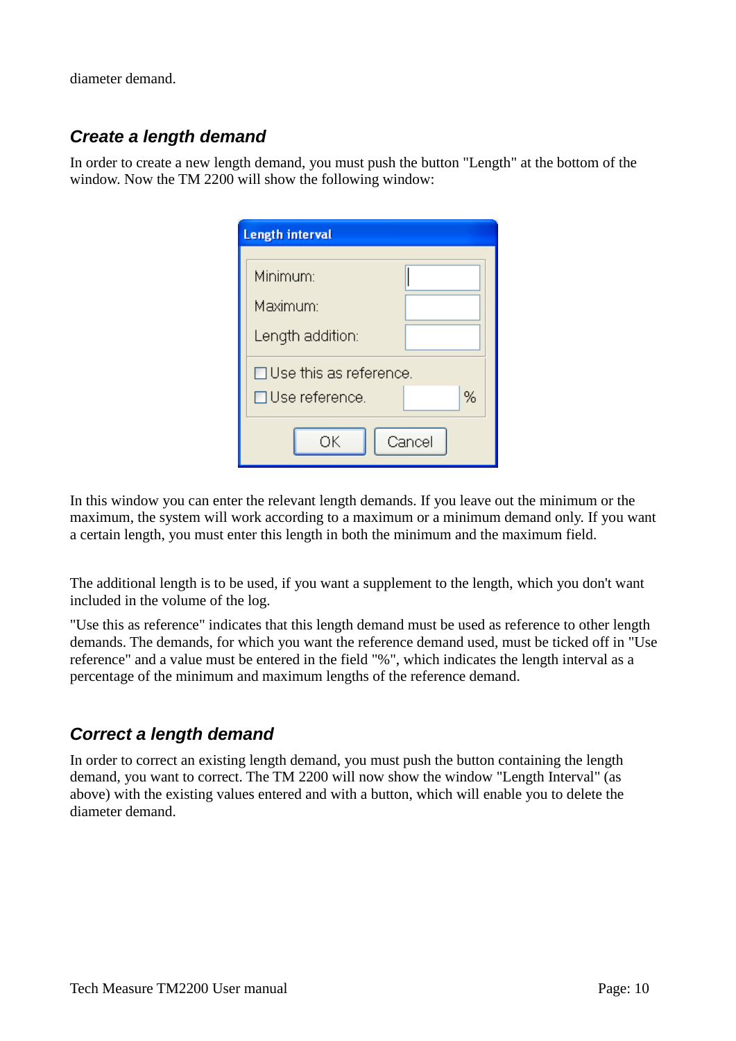diameter demand.

# *Create a length demand*

In order to create a new length demand, you must push the button "Length" at the bottom of the window. Now the TM 2200 will show the following window:

| <b>Length interval</b>        |
|-------------------------------|
|                               |
| Minimum:                      |
| Maximum:                      |
| Length addition:              |
| $\Box$ Use this as reference. |
| %<br>□Use reference.          |
| Cancel<br>OΚ                  |

In this window you can enter the relevant length demands. If you leave out the minimum or the maximum, the system will work according to a maximum or a minimum demand only. If you want a certain length, you must enter this length in both the minimum and the maximum field.

The additional length is to be used, if you want a supplement to the length, which you don't want included in the volume of the log.

"Use this as reference" indicates that this length demand must be used as reference to other length demands. The demands, for which you want the reference demand used, must be ticked off in "Use reference" and a value must be entered in the field "%", which indicates the length interval as a percentage of the minimum and maximum lengths of the reference demand.

# *Correct a length demand*

In order to correct an existing length demand, you must push the button containing the length demand, you want to correct. The TM 2200 will now show the window "Length Interval" (as above) with the existing values entered and with a button, which will enable you to delete the diameter demand.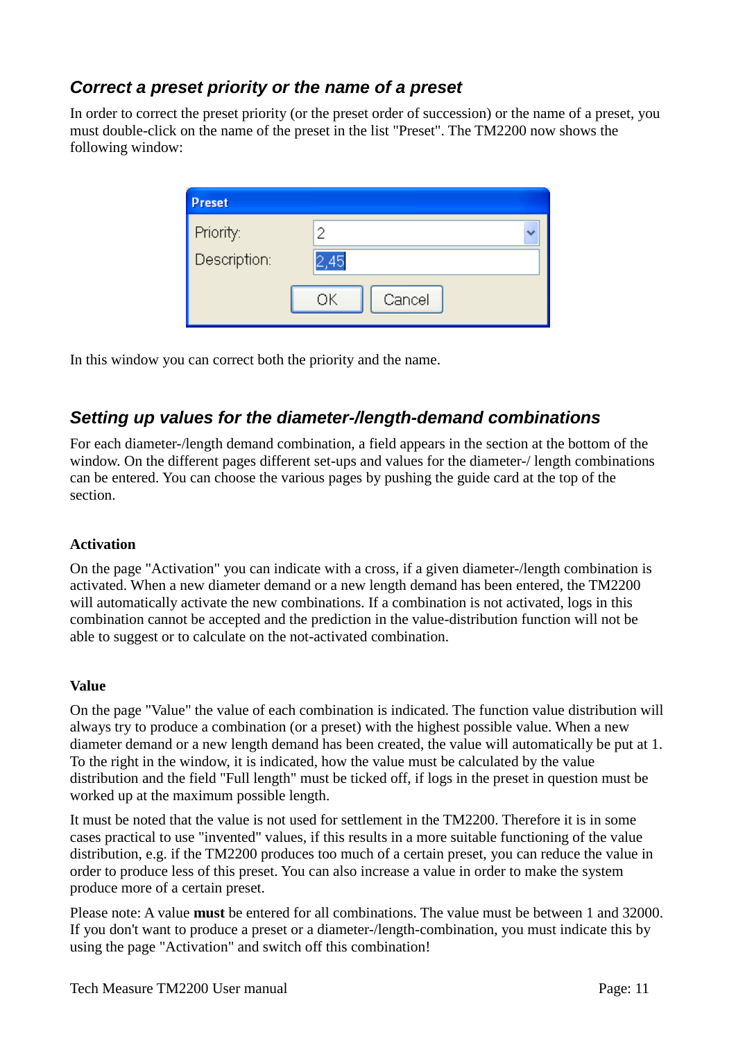# *Correct a preset priority or the name of a preset*

In order to correct the preset priority (or the preset order of succession) or the name of a preset, you must double-click on the name of the preset in the list "Preset". The TM2200 now shows the following window:

| <b>Preset</b>                     |              |
|-----------------------------------|--------------|
| Priority:                         | 2            |
| <u> André Car</u><br>Description: | 2.45         |
|                                   | Cancel<br>ОK |

In this window you can correct both the priority and the name.

# *Setting up values for the diameter-/length-demand combinations*

For each diameter-/length demand combination, a field appears in the section at the bottom of the window. On the different pages different set-ups and values for the diameter-/ length combinations can be entered. You can choose the various pages by pushing the guide card at the top of the section.

### **Activation**

On the page "Activation" you can indicate with a cross, if a given diameter-/length combination is activated. When a new diameter demand or a new length demand has been entered, the TM2200 will automatically activate the new combinations. If a combination is not activated, logs in this combination cannot be accepted and the prediction in the value-distribution function will not be able to suggest or to calculate on the not-activated combination.

### **Value**

On the page "Value" the value of each combination is indicated. The function value distribution will always try to produce a combination (or a preset) with the highest possible value. When a new diameter demand or a new length demand has been created, the value will automatically be put at 1. To the right in the window, it is indicated, how the value must be calculated by the value distribution and the field "Full length" must be ticked off, if logs in the preset in question must be worked up at the maximum possible length.

It must be noted that the value is not used for settlement in the TM2200. Therefore it is in some cases practical to use "invented" values, if this results in a more suitable functioning of the value distribution, e.g. if the TM2200 produces too much of a certain preset, you can reduce the value in order to produce less of this preset. You can also increase a value in order to make the system produce more of a certain preset.

Please note: A value **must** be entered for all combinations. The value must be between 1 and 32000. If you don't want to produce a preset or a diameter-/length-combination, you must indicate this by using the page "Activation" and switch off this combination!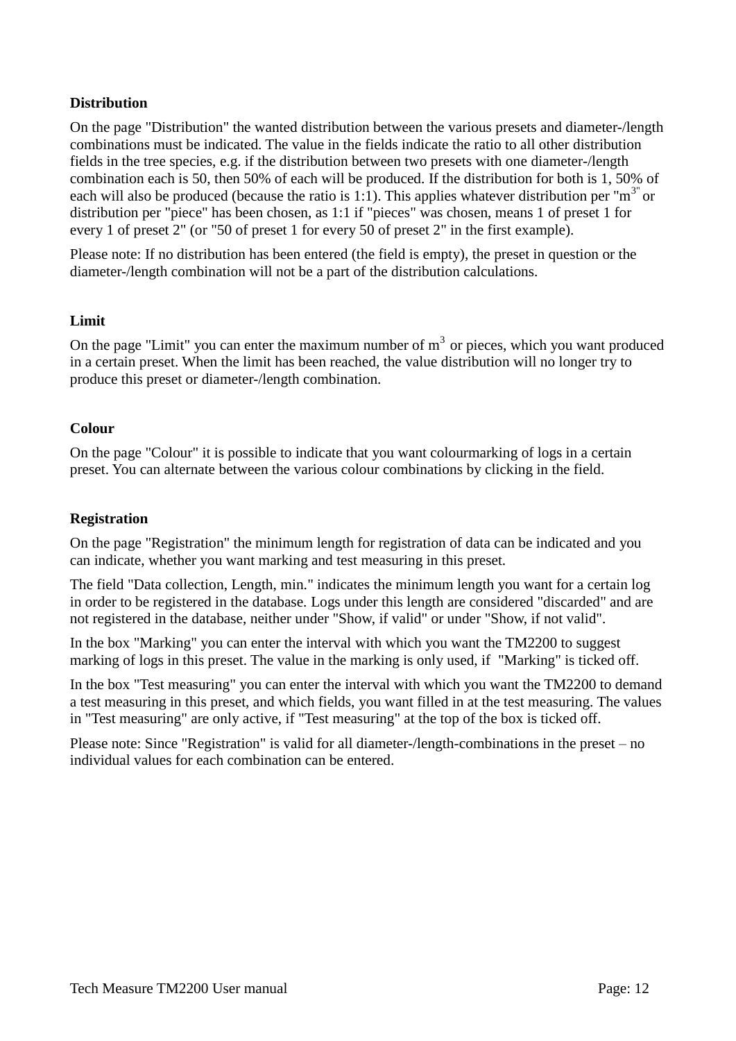### **Distribution**

On the page "Distribution" the wanted distribution between the various presets and diameter-/length combinations must be indicated. The value in the fields indicate the ratio to all other distribution fields in the tree species, e.g. if the distribution between two presets with one diameter-/length combination each is 50, then 50% of each will be produced. If the distribution for both is 1, 50% of each will also be produced (because the ratio is 1:1). This applies whatever distribution per " $m<sup>3</sup>$ " or distribution per "piece" has been chosen, as 1:1 if "pieces" was chosen, means 1 of preset 1 for every 1 of preset 2" (or "50 of preset 1 for every 50 of preset 2" in the first example).

Please note: If no distribution has been entered (the field is empty), the preset in question or the diameter-/length combination will not be a part of the distribution calculations.

### **Limit**

On the page "Limit" you can enter the maximum number of  $m<sup>3</sup>$  or pieces, which you want produced in a certain preset. When the limit has been reached, the value distribution will no longer try to produce this preset or diameter-/length combination.

### **Colour**

On the page "Colour" it is possible to indicate that you want colourmarking of logs in a certain preset. You can alternate between the various colour combinations by clicking in the field.

### **Registration**

On the page "Registration" the minimum length for registration of data can be indicated and you can indicate, whether you want marking and test measuring in this preset.

The field "Data collection, Length, min." indicates the minimum length you want for a certain log in order to be registered in the database. Logs under this length are considered "discarded" and are not registered in the database, neither under "Show, if valid" or under "Show, if not valid".

In the box "Marking" you can enter the interval with which you want the TM2200 to suggest marking of logs in this preset. The value in the marking is only used, if "Marking" is ticked off.

In the box "Test measuring" you can enter the interval with which you want the TM2200 to demand a test measuring in this preset, and which fields, you want filled in at the test measuring. The values in "Test measuring" are only active, if "Test measuring" at the top of the box is ticked off.

Please note: Since "Registration" is valid for all diameter-/length-combinations in the preset – no individual values for each combination can be entered.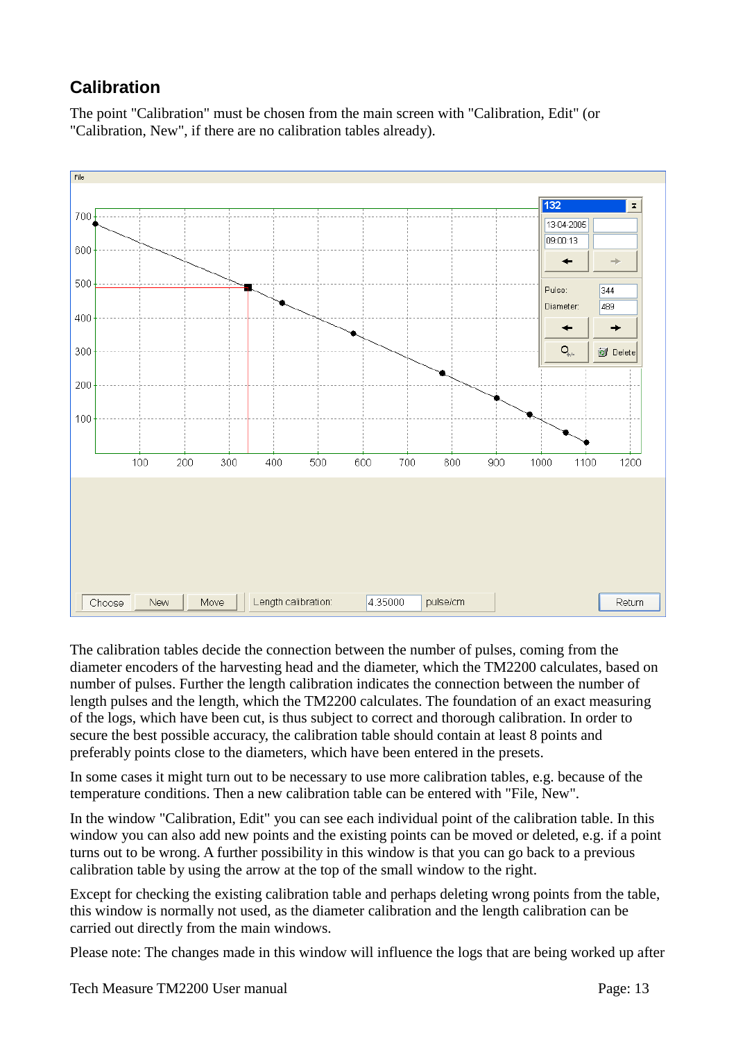# **Calibration**

The point "Calibration" must be chosen from the main screen with "Calibration, Edit" (or "Calibration, New", if there are no calibration tables already).



The calibration tables decide the connection between the number of pulses, coming from the diameter encoders of the harvesting head and the diameter, which the TM2200 calculates, based on number of pulses. Further the length calibration indicates the connection between the number of length pulses and the length, which the TM2200 calculates. The foundation of an exact measuring of the logs, which have been cut, is thus subject to correct and thorough calibration. In order to secure the best possible accuracy, the calibration table should contain at least 8 points and preferably points close to the diameters, which have been entered in the presets.

In some cases it might turn out to be necessary to use more calibration tables, e.g. because of the temperature conditions. Then a new calibration table can be entered with "File, New".

In the window "Calibration, Edit" you can see each individual point of the calibration table. In this window you can also add new points and the existing points can be moved or deleted, e.g. if a point turns out to be wrong. A further possibility in this window is that you can go back to a previous calibration table by using the arrow at the top of the small window to the right.

Except for checking the existing calibration table and perhaps deleting wrong points from the table, this window is normally not used, as the diameter calibration and the length calibration can be carried out directly from the main windows.

Please note: The changes made in this window will influence the logs that are being worked up after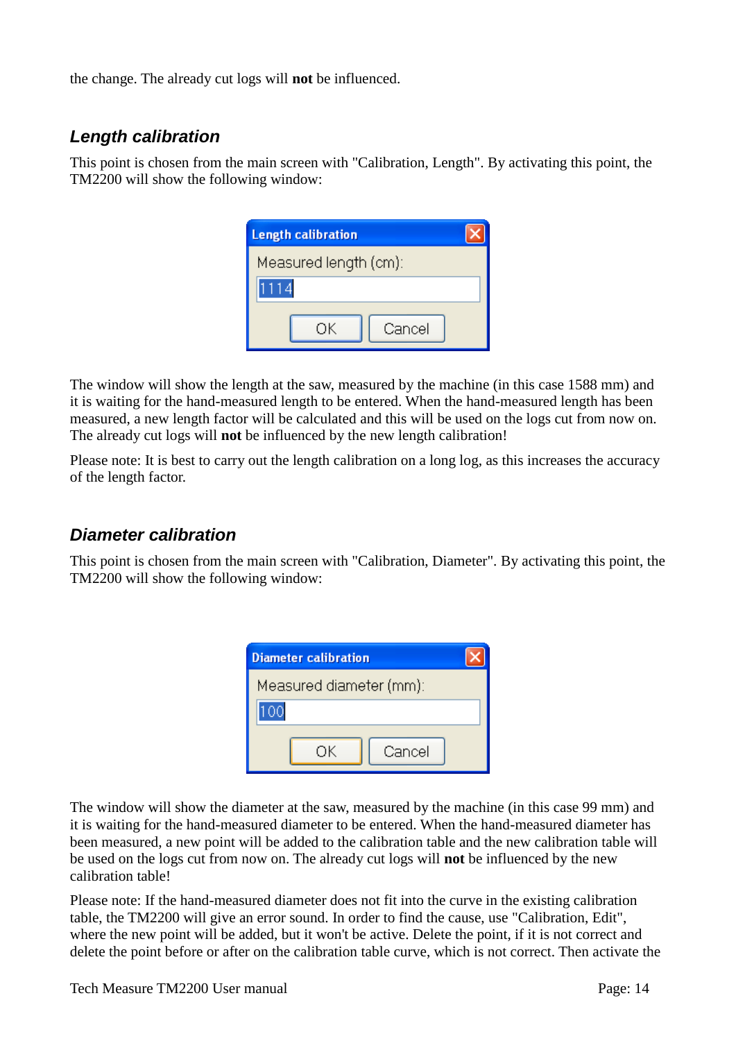the change. The already cut logs will **not** be influenced.

# *Length calibration*

This point is chosen from the main screen with "Calibration, Length". By activating this point, the TM2200 will show the following window:

| <b>Length calibration</b> |  |
|---------------------------|--|
| Measured length (cm):     |  |
|                           |  |
| Cancel<br>nκ              |  |

The window will show the length at the saw, measured by the machine (in this case 1588 mm) and it is waiting for the hand-measured length to be entered. When the hand-measured length has been measured, a new length factor will be calculated and this will be used on the logs cut from now on. The already cut logs will **not** be influenced by the new length calibration!

Please note: It is best to carry out the length calibration on a long log, as this increases the accuracy of the length factor.

# *Diameter calibration*

This point is chosen from the main screen with "Calibration, Diameter". By activating this point, the TM2200 will show the following window:

| <b>Diameter calibration</b> |  |
|-----------------------------|--|
| Measured diameter (mm):     |  |
|                             |  |
| ΩK                          |  |
| Cancel                      |  |

The window will show the diameter at the saw, measured by the machine (in this case 99 mm) and it is waiting for the hand-measured diameter to be entered. When the hand-measured diameter has been measured, a new point will be added to the calibration table and the new calibration table will be used on the logs cut from now on. The already cut logs will **not** be influenced by the new calibration table!

Please note: If the hand-measured diameter does not fit into the curve in the existing calibration table, the TM2200 will give an error sound. In order to find the cause, use "Calibration, Edit", where the new point will be added, but it won't be active. Delete the point, if it is not correct and delete the point before or after on the calibration table curve, which is not correct. Then activate the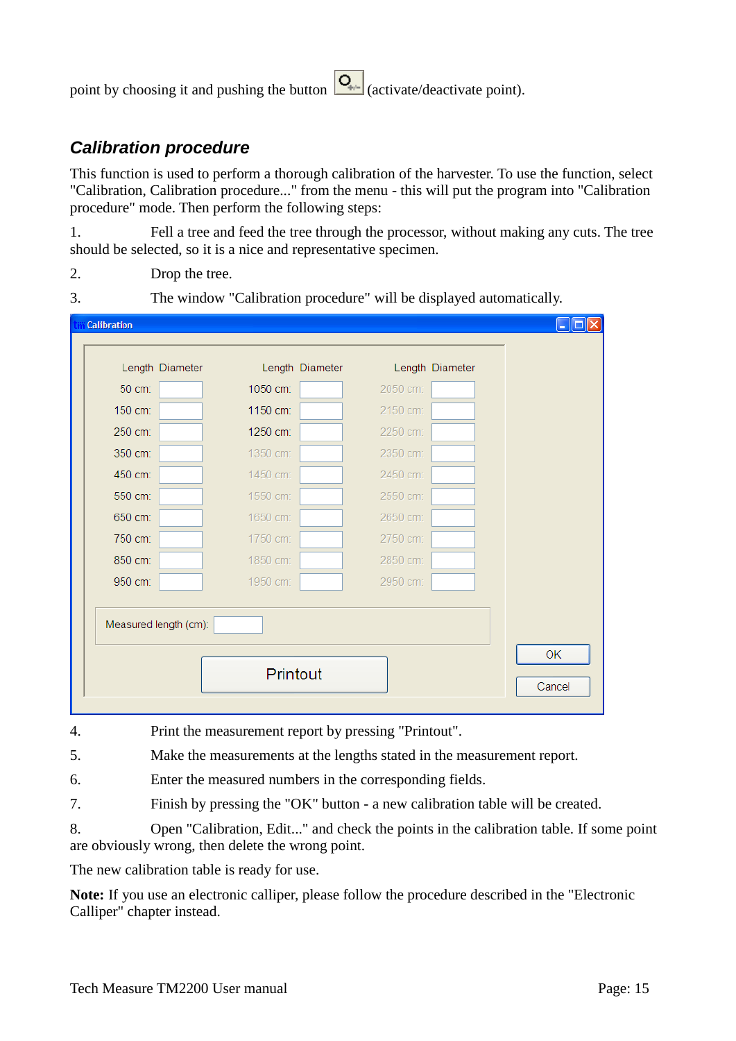point by choosing it and pushing the button  $\left| \mathbf{Q}_{\cdot} \right|$  (activate/deactivate point).

# *Calibration procedure*

This function is used to perform a thorough calibration of the harvester. To use the function, select "Calibration, Calibration procedure..." from the menu - this will put the program into "Calibration procedure" mode. Then perform the following steps:

1. Fell a tree and feed the tree through the processor, without making any cuts. The tree should be selected, so it is a nice and representative specimen.

- 2. Drop the tree.
- 3. The window "Calibration procedure" will be displayed automatically.

| <b>Calibration</b>    |                 |                 |
|-----------------------|-----------------|-----------------|
| Length Diameter       | Length Diameter | Length Diameter |
| 50 cm:                | 1050 cm:        | 2050 cm:        |
| 150 cm:               | 1150 cm:        | 2150 cm:        |
| 250 cm:               | 1250 cm:        | 2250 cm:        |
| 350 cm:               | 1350 cm:        | 2350 cm:        |
| 450 cm:               | 1450 cm:        | 2450 cm:        |
| 550 cm:               | 1550 cm:        | 2550 cm:        |
| 650 cm:               | 1650 cm:        | 2650 cm:        |
| 750 cm:               | 1750 cm:        | 2750 cm:        |
| 850 cm:               | 1850 cm:        | 2850 cm:        |
| 950 cm:               | 1950 cm:        | 2950 cm:        |
| Measured length (cm): |                 |                 |
|                       | Printout        |                 |

- 4. Print the measurement report by pressing "Printout".
- 5. Make the measurements at the lengths stated in the measurement report.

6. Enter the measured numbers in the corresponding fields.

7. Finish by pressing the "OK" button - a new calibration table will be created.

8. Open "Calibration, Edit..." and check the points in the calibration table. If some point are obviously wrong, then delete the wrong point.

The new calibration table is ready for use.

**Note:** If you use an electronic calliper, please follow the procedure described in the "Electronic Calliper" chapter instead.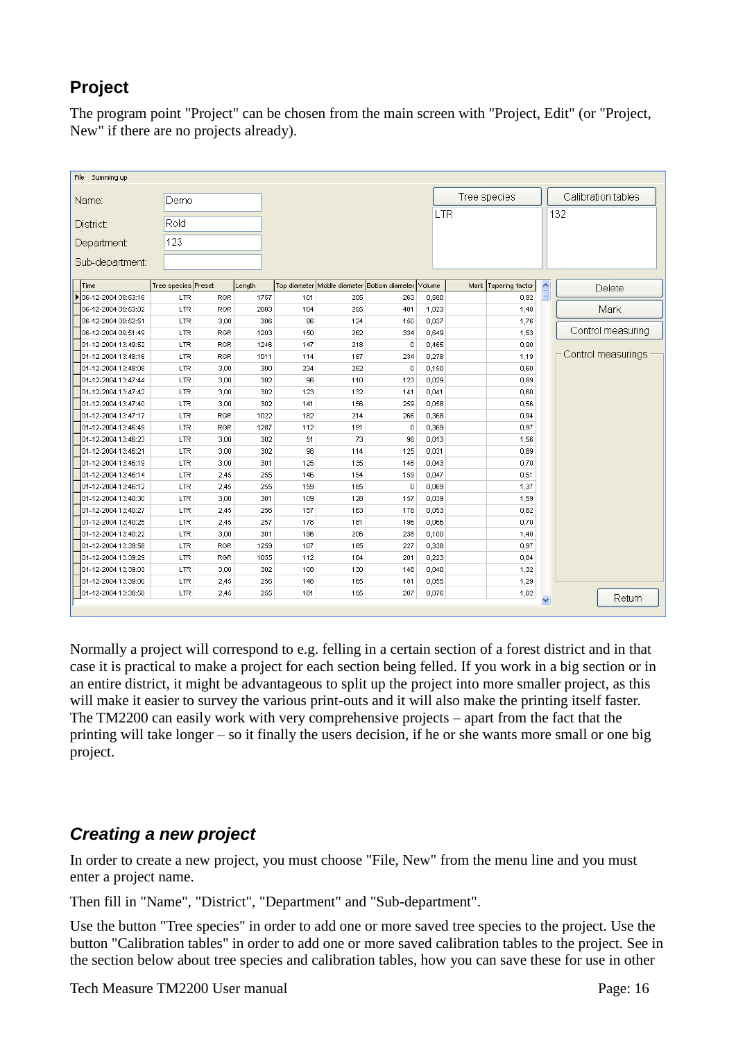# **Project**

The program point "Project" can be chosen from the main screen with "Project, Edit" (or "Project, New" if there are no projects already).

| Tree species<br>Calibration tables<br>Demo<br>Name:<br><b>LTR</b><br>132<br>Rold<br>District:<br>123<br>Department:                                             |  |
|-----------------------------------------------------------------------------------------------------------------------------------------------------------------|--|
|                                                                                                                                                                 |  |
|                                                                                                                                                                 |  |
|                                                                                                                                                                 |  |
|                                                                                                                                                                 |  |
| Sub-department:                                                                                                                                                 |  |
| Tree species Preset<br>$\widehat{\phantom{a}}$<br>Length<br>Top diameter Middle diameter Bottom diameter<br>Volume<br>Tapering factor<br>Mark<br>Time<br>Delete |  |
| ▶ 06-12-2004 09:53:16<br><b>RGR</b><br>205<br>0,92<br>LTR<br>1757<br>101<br>263<br>0,580                                                                        |  |
| Mark<br>06-12-2004 09:53:02<br><b>LTR</b><br><b>RGR</b><br>104<br>255<br>1,023<br>2003<br>401<br>1,48                                                           |  |
| 06-12-2004 09:52:51<br>LTR<br>306<br>96<br>0,037<br>1,76<br>3,00<br>124<br>150                                                                                  |  |
| Control measuring<br>06-12-2004 09:51:49<br>LTR<br>RGR<br>1203<br>150<br>262<br>0,649<br>1,53<br>334                                                            |  |
| 01-12-2004 13:49:52<br>LTR<br><b>RGR</b><br>1246<br>147<br>218<br>0<br>0,465<br>0,90                                                                            |  |
| Control measurings<br>1,19<br>01-12-2004 13:48:16<br>LTR<br><b>RGR</b><br>1011<br>114<br>187<br>234<br>0,278                                                    |  |
| 0<br>0,60<br>01-12-2004 13:48:08<br>LTR<br>3,00<br>300<br>234<br>252<br>0,150                                                                                   |  |
| 3,00<br>96<br>123<br>0,029<br>0,89<br>01-12-2004 13:47:44<br>LTR<br>302<br>110                                                                                  |  |
| 01-12-2004 13:47:42<br>LTR<br>3,00<br>302<br>123<br>0,041<br>0,60<br>132<br>141                                                                                 |  |
| 3,00<br>0,56<br>01-12-2004 13:47:40<br>LTR<br>302<br>141<br>156<br>259<br>0,058                                                                                 |  |
| <b>RGR</b><br>1022<br>0,94<br>01-12-2004 13:47:17<br>LTR<br>182<br>214<br>266<br>0,368                                                                          |  |
| 01-12-2004 13:46:49<br>LTR<br>RGR<br>1287<br>$\overline{0}$<br>0,369<br>0,97<br>112<br>191                                                                      |  |
| 01-12-2004 13:46:23<br>LTR<br>3,00<br>302<br>51<br>73<br>98<br>0,013<br>1,56                                                                                    |  |
| 0,89<br>01-12-2004 13:46:21<br>LTR<br>3,00<br>302<br>98<br>114<br>125<br>0,031                                                                                  |  |
| 01-12-2004 13:46:19<br>0,70<br>LTR<br>3,00<br>301<br>125<br>135<br>146<br>0,043                                                                                 |  |
| 01-12-2004 13:46:14<br>255<br>146<br>154<br>0,047<br>0,51<br>LTR<br>2,45<br>159                                                                                 |  |
| 01-12-2004 13:46:12<br>LTR<br>2,45<br>255<br>159<br>185<br>$\mathbf 0$<br>0,069<br>1,37                                                                         |  |
| 01-12-2004 13:40:30<br>LTR<br>3,00<br>301<br>109<br>128<br>157<br>0,039<br>1,59                                                                                 |  |
| 157<br>0,82<br>01-12-2004 13:40:27<br>LTR<br>2,45<br>256<br>163<br>178<br>0,053                                                                                 |  |
| 01-12-2004 13:40:25<br>0,70<br>LTR<br>2,45<br>257<br>178<br>181<br>196<br>0,066                                                                                 |  |
| 01-12-2004 13:40:22<br>3,00<br>LTR<br>301<br>196<br>206<br>238<br>0,100<br>1,40                                                                                 |  |
| 01-12-2004 13:39:58<br>RGR<br>1259<br>107<br>227<br>0,338<br>0,97<br>LTR<br>185                                                                                 |  |
| 01-12-2004 13:39:29<br>LTR<br>RGR<br>1055<br>112<br>164<br>0,223<br>0,84<br>201                                                                                 |  |
| 01-12-2004 13:39:03<br>LTR<br>3,00<br>302<br>108<br>130<br>148<br>0,040<br>1,32                                                                                 |  |
| 01-12-2004 13:39:00<br>1,29<br>LTR<br>2,45<br>256<br>148<br>165<br>181<br>0,055                                                                                 |  |
| 01-12-2004 13:38:58<br>LTR<br>255<br>181<br>195<br>207<br>0,076<br>1,02<br>2,45<br>Return<br>$\checkmark$                                                       |  |

Normally a project will correspond to e.g. felling in a certain section of a forest district and in that case it is practical to make a project for each section being felled. If you work in a big section or in an entire district, it might be advantageous to split up the project into more smaller project, as this will make it easier to survey the various print-outs and it will also make the printing itself faster. The TM2200 can easily work with very comprehensive projects – apart from the fact that the printing will take longer – so it finally the users decision, if he or she wants more small or one big project.

# *Creating a new project*

In order to create a new project, you must choose "File, New" from the menu line and you must enter a project name.

Then fill in "Name", "District", "Department" and "Sub-department".

Use the button "Tree species" in order to add one or more saved tree species to the project. Use the button "Calibration tables" in order to add one or more saved calibration tables to the project. See in the section below about tree species and calibration tables, how you can save these for use in other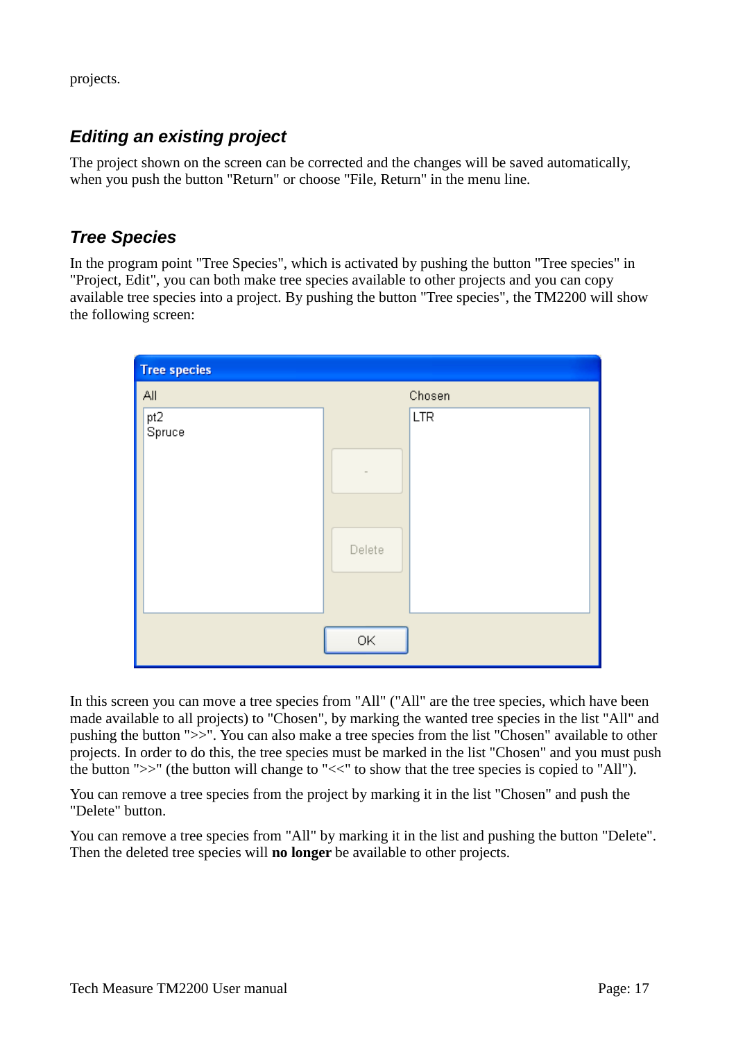projects.

# *Editing an existing project*

The project shown on the screen can be corrected and the changes will be saved automatically, when you push the button "Return" or choose "File, Return" in the menu line.

# *Tree Species*

In the program point "Tree Species", which is activated by pushing the button "Tree species" in "Project, Edit", you can both make tree species available to other projects and you can copy available tree species into a project. By pushing the button "Tree species", the TM2200 will show the following screen:



In this screen you can move a tree species from "All" ("All" are the tree species, which have been made available to all projects) to "Chosen", by marking the wanted tree species in the list "All" and pushing the button ">>". You can also make a tree species from the list "Chosen" available to other projects. In order to do this, the tree species must be marked in the list "Chosen" and you must push the button ">>" (the button will change to "<<" to show that the tree species is copied to "All").

You can remove a tree species from the project by marking it in the list "Chosen" and push the "Delete" button.

You can remove a tree species from "All" by marking it in the list and pushing the button "Delete". Then the deleted tree species will **no longer** be available to other projects.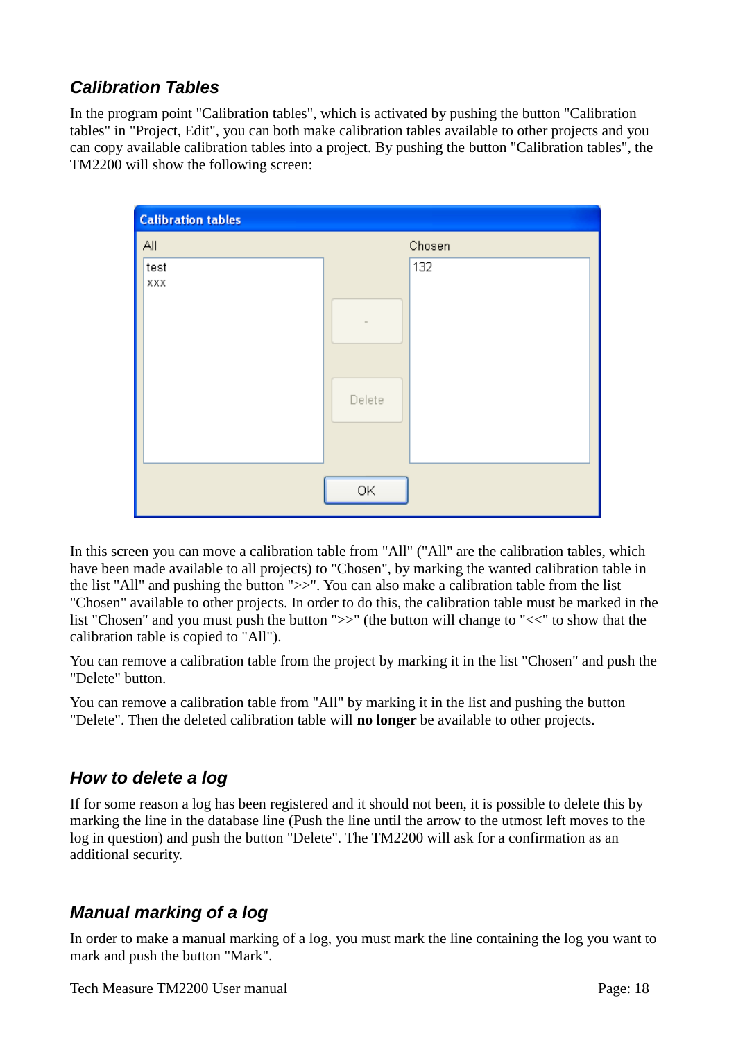# *Calibration Tables*

In the program point "Calibration tables", which is activated by pushing the button "Calibration tables" in "Project, Edit", you can both make calibration tables available to other projects and you can copy available calibration tables into a project. By pushing the button "Calibration tables", the TM2200 will show the following screen:

| <b>Calibration tables</b> |               |  |
|---------------------------|---------------|--|
| All                       | Chosen        |  |
| test<br>XXX               | 132<br>Delete |  |
|                           | OK            |  |

In this screen you can move a calibration table from "All" ("All" are the calibration tables, which have been made available to all projects) to "Chosen", by marking the wanted calibration table in the list "All" and pushing the button ">>". You can also make a calibration table from the list "Chosen" available to other projects. In order to do this, the calibration table must be marked in the list "Chosen" and you must push the button ">>" (the button will change to "<<" to show that the calibration table is copied to "All").

You can remove a calibration table from the project by marking it in the list "Chosen" and push the "Delete" button.

You can remove a calibration table from "All" by marking it in the list and pushing the button "Delete". Then the deleted calibration table will **no longer** be available to other projects.

# *How to delete a log*

If for some reason a log has been registered and it should not been, it is possible to delete this by marking the line in the database line (Push the line until the arrow to the utmost left moves to the log in question) and push the button "Delete". The TM2200 will ask for a confirmation as an additional security.

# *Manual marking of a log*

In order to make a manual marking of a log, you must mark the line containing the log you want to mark and push the button "Mark".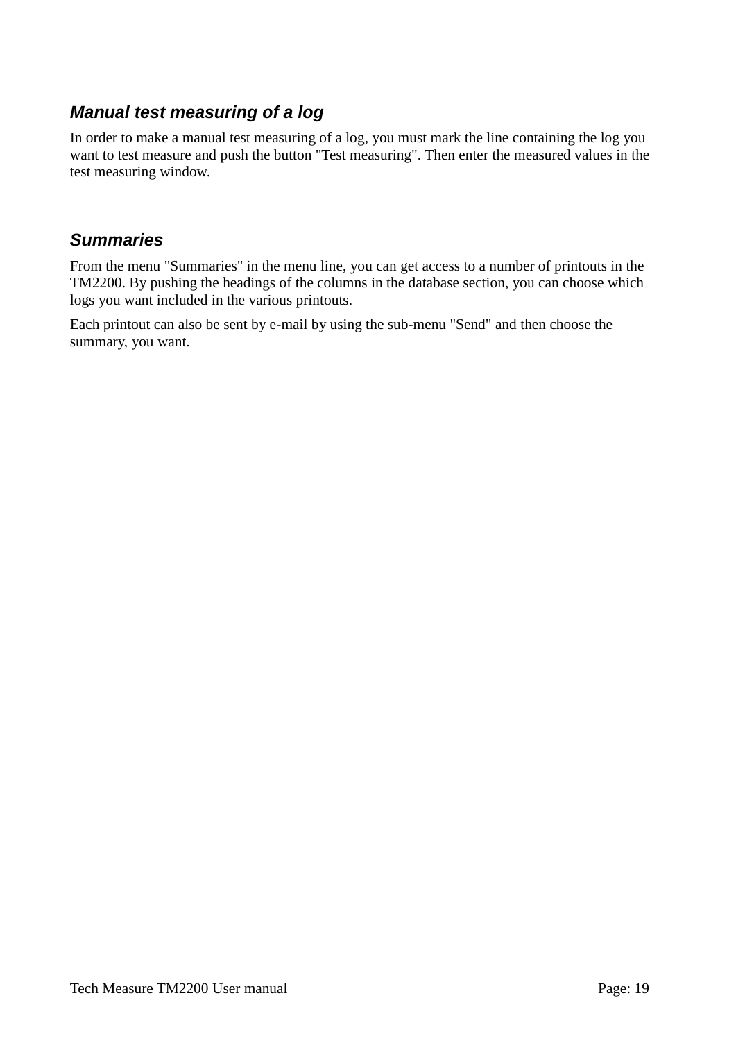# *Manual test measuring of a log*

In order to make a manual test measuring of a log, you must mark the line containing the log you want to test measure and push the button "Test measuring". Then enter the measured values in the test measuring window.

# *Summaries*

From the menu "Summaries" in the menu line, you can get access to a number of printouts in the TM2200. By pushing the headings of the columns in the database section, you can choose which logs you want included in the various printouts.

Each printout can also be sent by e-mail by using the sub-menu "Send" and then choose the summary, you want.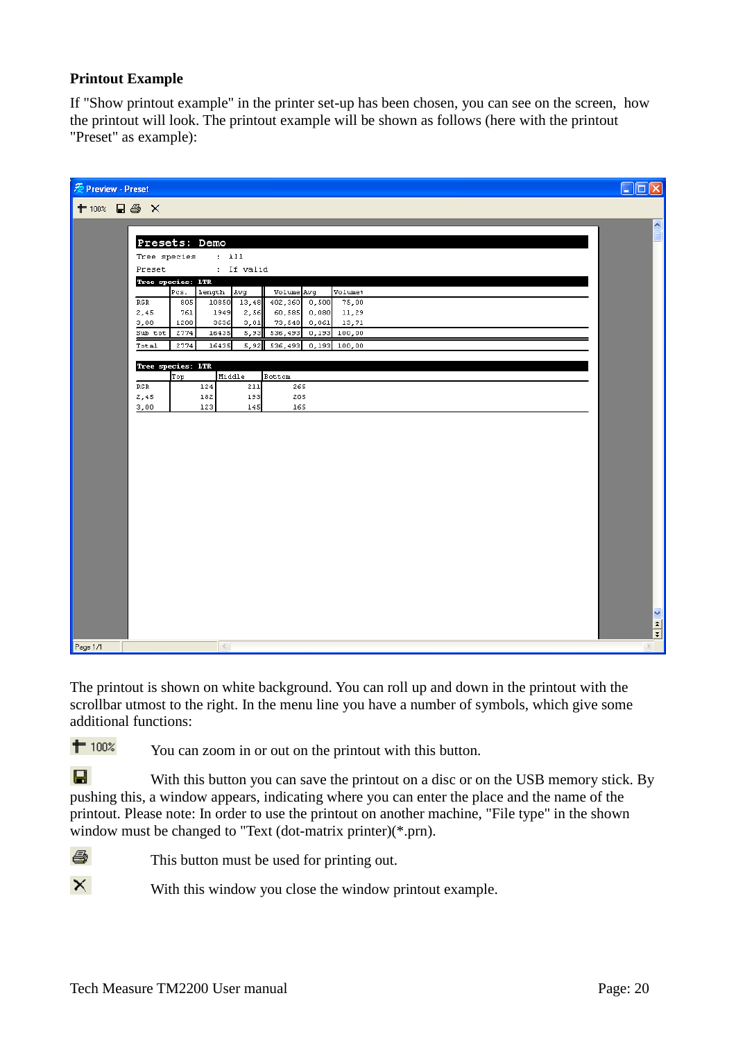### **Printout Example**

If "Show printout example" in the printer set-up has been chosen, you can see on the screen, how the printout will look. The printout example will be shown as follows (here with the printout "Preset" as example):

| 爱 Preview - Preset                                                                                                  | $\Box$ ok                                                                                                         |
|---------------------------------------------------------------------------------------------------------------------|-------------------------------------------------------------------------------------------------------------------|
| ← 100% ■ ● ×                                                                                                        |                                                                                                                   |
|                                                                                                                     | $\sim$                                                                                                            |
| Presets: Demo                                                                                                       |                                                                                                                   |
| $:$ All<br>Tree species                                                                                             |                                                                                                                   |
| : If valid<br>Preset                                                                                                |                                                                                                                   |
| Tree species: LTR<br>Length<br>Pcs.<br>Avg<br>Volume Avg<br>Volume <sup>§</sup>                                     |                                                                                                                   |
| 10850<br>13,48<br>402,360 0,500<br>75,00<br>RGR<br>805                                                              |                                                                                                                   |
| 2,45<br>2,56<br>60,585<br>0,080<br>761<br>1949<br>11,29<br>3,00<br>3636<br>3,01<br>73,548<br>0,061<br>1208<br>13,71 |                                                                                                                   |
| Sub tot<br>2774<br>16435<br>536,493<br>0,193<br>100,00<br>5,93                                                      |                                                                                                                   |
| 5,92 536,493 0,193 100,00<br>2774<br>16435<br>Total                                                                 |                                                                                                                   |
| Tree species: LTR                                                                                                   |                                                                                                                   |
| Top<br>Middle<br><b>Bottom</b>                                                                                      |                                                                                                                   |
| RGR<br>211<br>124<br>265<br>2,45<br>182<br>193<br>205                                                               |                                                                                                                   |
| 3,00<br>123<br>145<br>165                                                                                           |                                                                                                                   |
|                                                                                                                     |                                                                                                                   |
|                                                                                                                     |                                                                                                                   |
|                                                                                                                     |                                                                                                                   |
|                                                                                                                     |                                                                                                                   |
|                                                                                                                     |                                                                                                                   |
|                                                                                                                     |                                                                                                                   |
|                                                                                                                     |                                                                                                                   |
|                                                                                                                     |                                                                                                                   |
|                                                                                                                     |                                                                                                                   |
|                                                                                                                     |                                                                                                                   |
|                                                                                                                     |                                                                                                                   |
|                                                                                                                     |                                                                                                                   |
|                                                                                                                     |                                                                                                                   |
|                                                                                                                     |                                                                                                                   |
|                                                                                                                     | $\frac{1}{\left \mathbf{r}\right }\frac{\left \mathbf{r}\right }{\left \mathbf{r}\right }\left \mathbf{r}\right $ |
| $\vert \langle \vert \vert$<br>Page 1/1                                                                             | $\geq$                                                                                                            |

The printout is shown on white background. You can roll up and down in the printout with the scrollbar utmost to the right. In the menu line you have a number of symbols, which give some additional functions:

 $# 100%$ You can zoom in or out on the printout with this button.

 $\blacksquare$ With this button you can save the printout on a disc or on the USB memory stick. By pushing this, a window appears, indicating where you can enter the place and the name of the printout. Please note: In order to use the printout on another machine, "File type" in the shown window must be changed to "Text (dot-matrix printer)(\*.prn).

噕 This button must be used for printing out.

 $\times$ 

With this window you close the window printout example.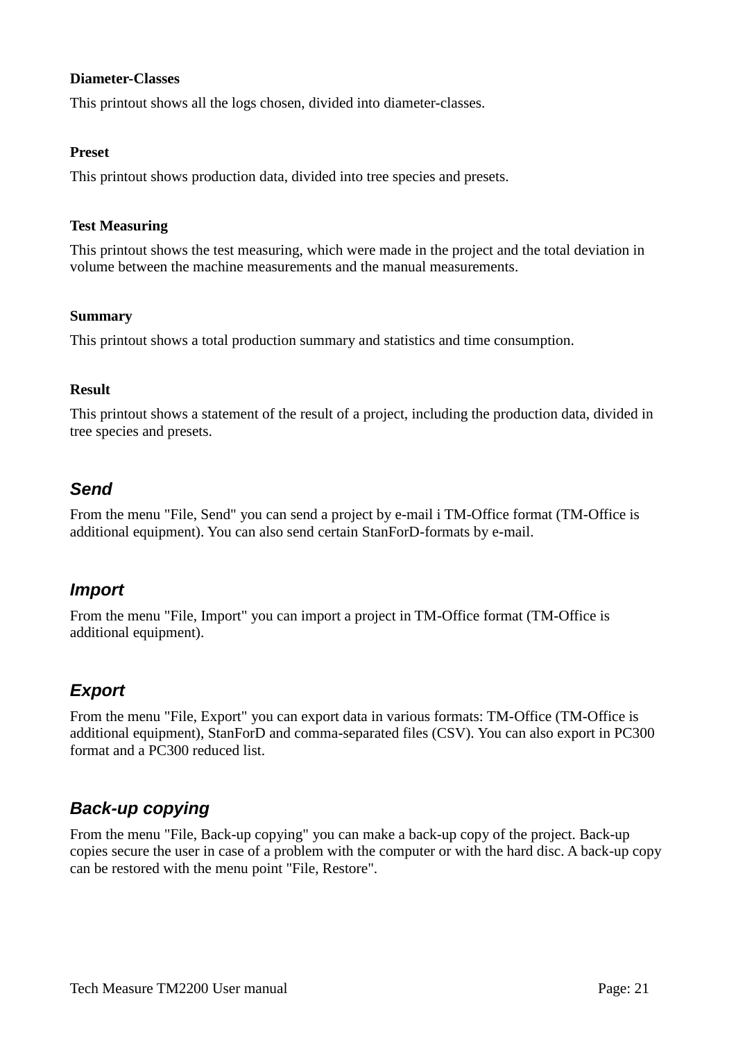### **Diameter-Classes**

This printout shows all the logs chosen, divided into diameter-classes.

### **Preset**

This printout shows production data, divided into tree species and presets.

### **Test Measuring**

This printout shows the test measuring, which were made in the project and the total deviation in volume between the machine measurements and the manual measurements.

### **Summary**

This printout shows a total production summary and statistics and time consumption.

### **Result**

This printout shows a statement of the result of a project, including the production data, divided in tree species and presets.

# *Send*

From the menu "File, Send" you can send a project by e-mail i TM-Office format (TM-Office is additional equipment). You can also send certain StanForD-formats by e-mail.

# *Import*

From the menu "File, Import" you can import a project in TM-Office format (TM-Office is additional equipment).

# *Export*

From the menu "File, Export" you can export data in various formats: TM-Office (TM-Office is additional equipment), StanForD and comma-separated files (CSV). You can also export in PC300 format and a PC300 reduced list.

# *Back-up copying*

From the menu "File, Back-up copying" you can make a back-up copy of the project. Back-up copies secure the user in case of a problem with the computer or with the hard disc. A back-up copy can be restored with the menu point "File, Restore".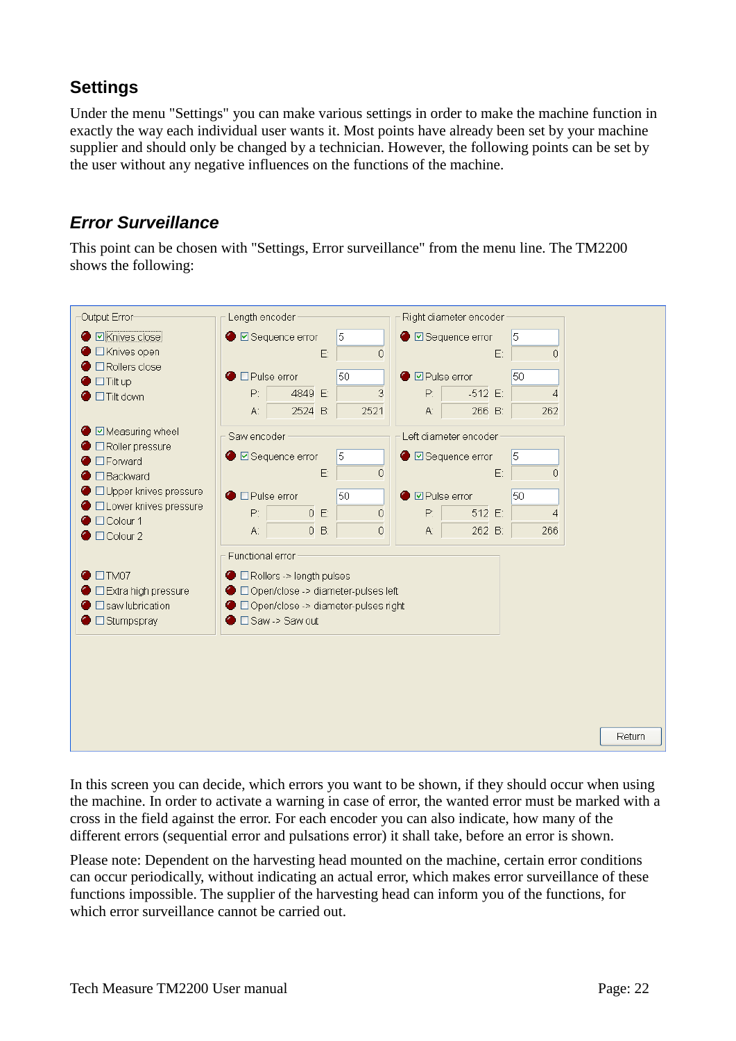# **Settings**

Under the menu "Settings" you can make various settings in order to make the machine function in exactly the way each individual user wants it. Most points have already been set by your machine supplier and should only be changed by a technician. However, the following points can be set by the user without any negative influences on the functions of the machine.

# *Error Surveillance*

This point can be chosen with "Settings, Error surveillance" from the menu line. The TM2200 shows the following:



In this screen you can decide, which errors you want to be shown, if they should occur when using the machine. In order to activate a warning in case of error, the wanted error must be marked with a cross in the field against the error. For each encoder you can also indicate, how many of the different errors (sequential error and pulsations error) it shall take, before an error is shown.

Please note: Dependent on the harvesting head mounted on the machine, certain error conditions can occur periodically, without indicating an actual error, which makes error surveillance of these functions impossible. The supplier of the harvesting head can inform you of the functions, for which error surveillance cannot be carried out.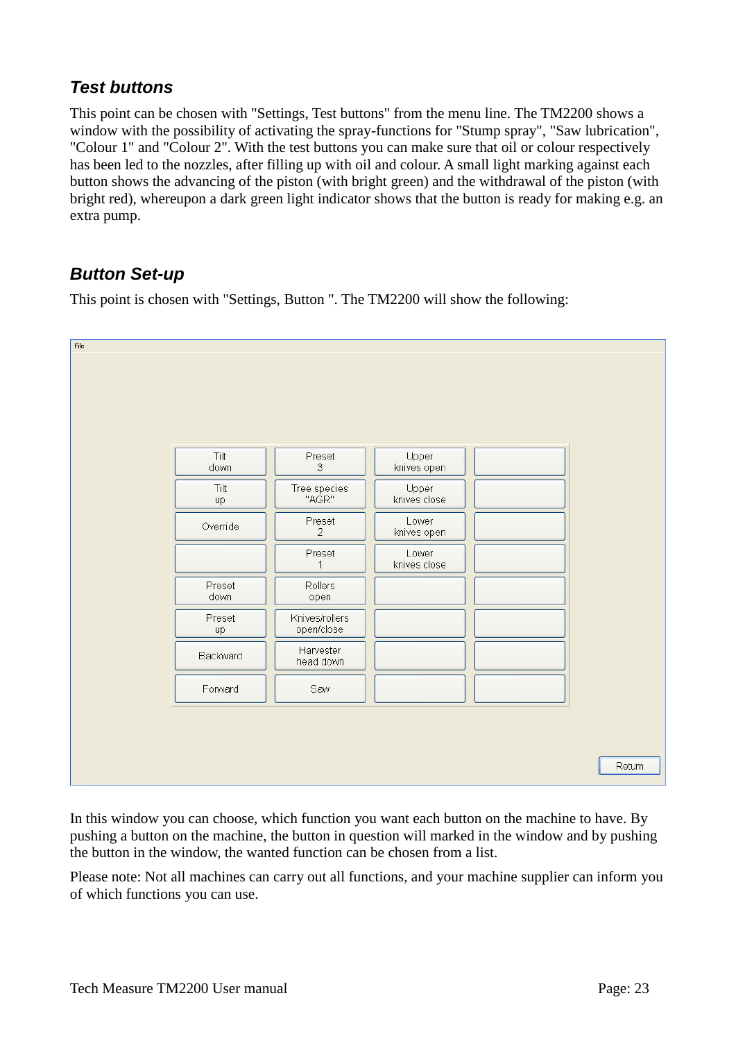# *Test buttons*

This point can be chosen with "Settings, Test buttons" from the menu line. The TM2200 shows a window with the possibility of activating the spray-functions for "Stump spray", "Saw lubrication", "Colour 1" and "Colour 2". With the test buttons you can make sure that oil or colour respectively has been led to the nozzles, after filling up with oil and colour. A small light marking against each button shows the advancing of the piston (with bright green) and the withdrawal of the piston (with bright red), whereupon a dark green light indicator shows that the button is ready for making e.g. an extra pump.

# *Button Set-up*

This point is chosen with "Settings, Button ". The TM2200 will show the following:



In this window you can choose, which function you want each button on the machine to have. By pushing a button on the machine, the button in question will marked in the window and by pushing the button in the window, the wanted function can be chosen from a list.

Please note: Not all machines can carry out all functions, and your machine supplier can inform you of which functions you can use.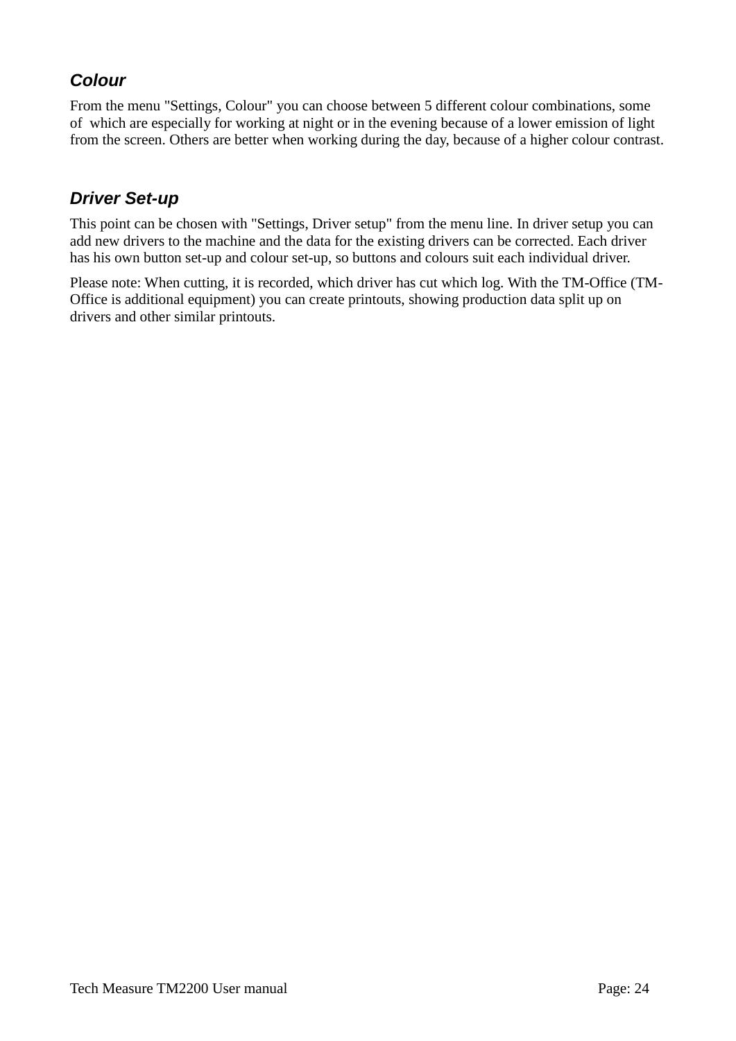# *Colour*

From the menu "Settings, Colour" you can choose between 5 different colour combinations, some of which are especially for working at night or in the evening because of a lower emission of light from the screen. Others are better when working during the day, because of a higher colour contrast.

# *Driver Set-up*

This point can be chosen with "Settings, Driver setup" from the menu line. In driver setup you can add new drivers to the machine and the data for the existing drivers can be corrected. Each driver has his own button set-up and colour set-up, so buttons and colours suit each individual driver.

Please note: When cutting, it is recorded, which driver has cut which log. With the TM-Office (TM-Office is additional equipment) you can create printouts, showing production data split up on drivers and other similar printouts.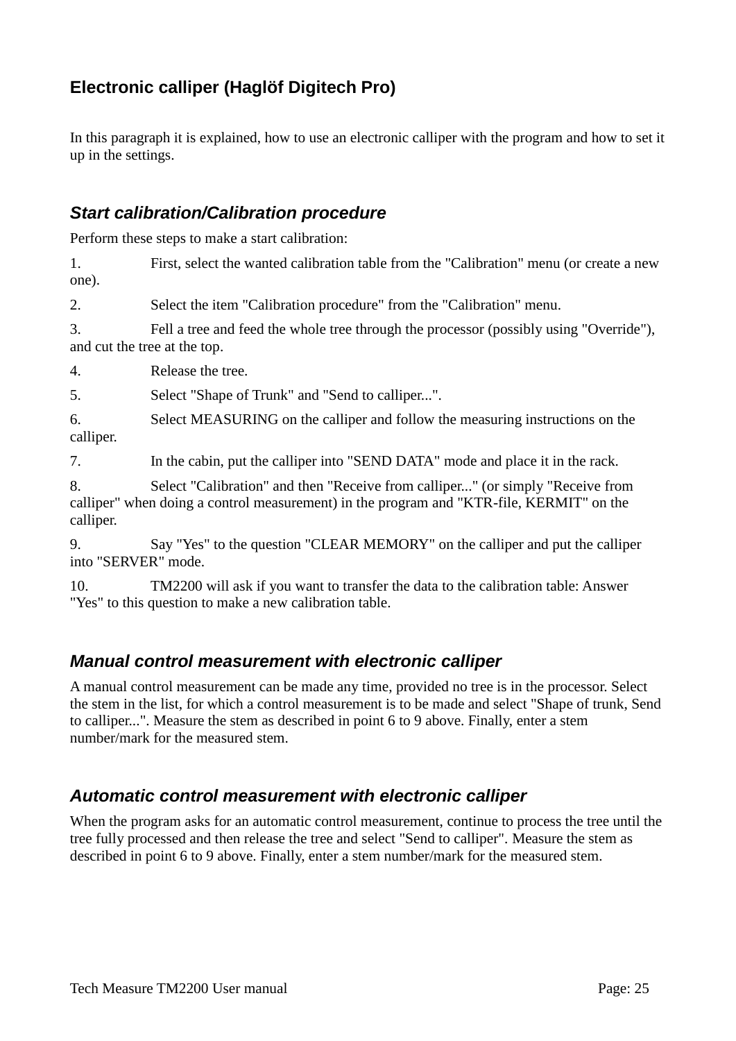# **Electronic calliper (Haglöf Digitech Pro)**

In this paragraph it is explained, how to use an electronic calliper with the program and how to set it up in the settings.

# *Start calibration/Calibration procedure*

Perform these steps to make a start calibration:

1. First, select the wanted calibration table from the "Calibration" menu (or create a new one).

2. Select the item "Calibration procedure" from the "Calibration" menu.

3. Fell a tree and feed the whole tree through the processor (possibly using "Override"), and cut the tree at the top.

4. Release the tree.

5. Select "Shape of Trunk" and "Send to calliper...".

6. Select MEASURING on the calliper and follow the measuring instructions on the calliper.

7. In the cabin, put the calliper into "SEND DATA" mode and place it in the rack.

8. Select "Calibration" and then "Receive from calliper..." (or simply "Receive from calliper" when doing a control measurement) in the program and "KTR-file, KERMIT" on the calliper.

9. Say "Yes" to the question "CLEAR MEMORY" on the calliper and put the calliper into "SERVER" mode.

10. TM2200 will ask if you want to transfer the data to the calibration table: Answer "Yes" to this question to make a new calibration table.

# *Manual control measurement with electronic calliper*

A manual control measurement can be made any time, provided no tree is in the processor. Select the stem in the list, for which a control measurement is to be made and select "Shape of trunk, Send to calliper...". Measure the stem as described in point 6 to 9 above. Finally, enter a stem number/mark for the measured stem.

# *Automatic control measurement with electronic calliper*

When the program asks for an automatic control measurement, continue to process the tree until the tree fully processed and then release the tree and select "Send to calliper". Measure the stem as described in point 6 to 9 above. Finally, enter a stem number/mark for the measured stem.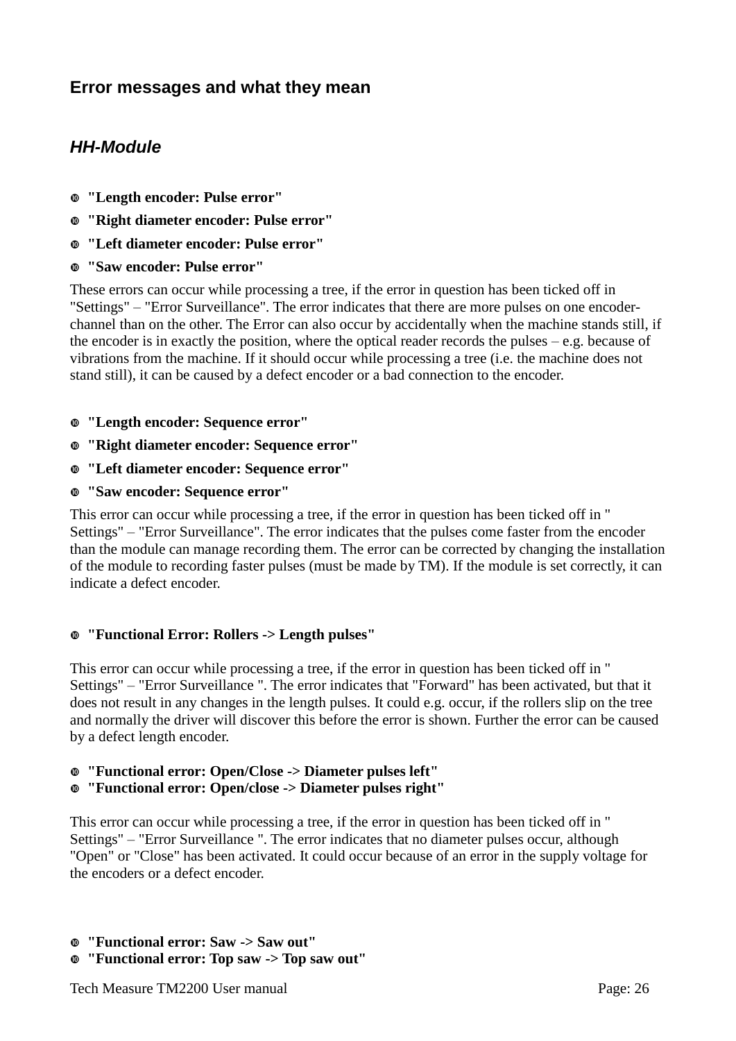# **Error messages and what they mean**

# *HH-Module*

- **"Length encoder: Pulse error"**
- **"Right diameter encoder: Pulse error"**
- **"Left diameter encoder: Pulse error"**
- **"Saw encoder: Pulse error"**

These errors can occur while processing a tree, if the error in question has been ticked off in "Settings" – "Error Surveillance". The error indicates that there are more pulses on one encoderchannel than on the other. The Error can also occur by accidentally when the machine stands still, if the encoder is in exactly the position, where the optical reader records the pulses  $-e.g.$  because of vibrations from the machine. If it should occur while processing a tree (i.e. the machine does not stand still), it can be caused by a defect encoder or a bad connection to the encoder.

- **"Length encoder: Sequence error"**
- **"Right diameter encoder: Sequence error"**
- **"Left diameter encoder: Sequence error"**
- **"Saw encoder: Sequence error"**

This error can occur while processing a tree, if the error in question has been ticked off in " Settings" – "Error Surveillance". The error indicates that the pulses come faster from the encoder than the module can manage recording them. The error can be corrected by changing the installation of the module to recording faster pulses (must be made by TM). If the module is set correctly, it can indicate a defect encoder.

### **"Functional Error: Rollers -> Length pulses"**

This error can occur while processing a tree, if the error in question has been ticked off in " Settings" – "Error Surveillance ". The error indicates that "Forward" has been activated, but that it does not result in any changes in the length pulses. It could e.g. occur, if the rollers slip on the tree and normally the driver will discover this before the error is shown. Further the error can be caused by a defect length encoder.

### **"Functional error: Open/Close -> Diameter pulses left"**

**"Functional error: Open/close -> Diameter pulses right"**

This error can occur while processing a tree, if the error in question has been ticked off in " Settings" – "Error Surveillance ". The error indicates that no diameter pulses occur, although "Open" or "Close" has been activated. It could occur because of an error in the supply voltage for the encoders or a defect encoder.

- **"Functional error: Saw -> Saw out"**
- **"Functional error: Top saw -> Top saw out"**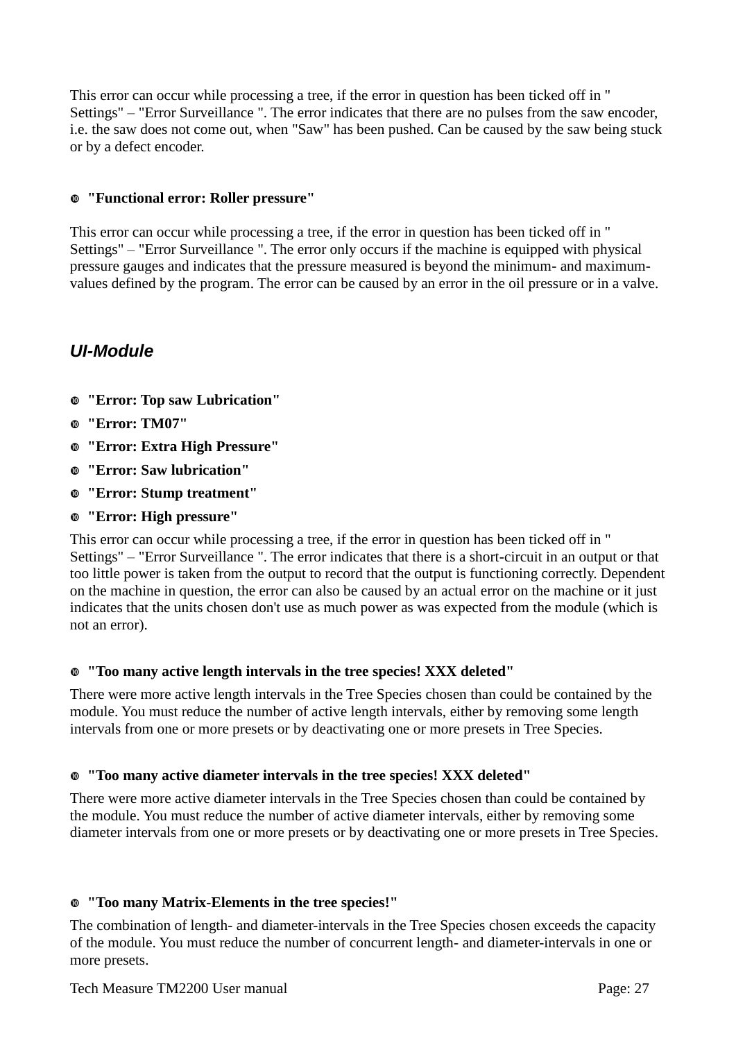This error can occur while processing a tree, if the error in question has been ticked off in " Settings" – "Error Surveillance ". The error indicates that there are no pulses from the saw encoder, i.e. the saw does not come out, when "Saw" has been pushed. Can be caused by the saw being stuck or by a defect encoder.

### **"Functional error: Roller pressure"**

This error can occur while processing a tree, if the error in question has been ticked off in " Settings" – "Error Surveillance ". The error only occurs if the machine is equipped with physical pressure gauges and indicates that the pressure measured is beyond the minimum- and maximumvalues defined by the program. The error can be caused by an error in the oil pressure or in a valve.

# *UI-Module*

- **"Error: Top saw Lubrication"**
- **"Error: TM07"**
- **"Error: Extra High Pressure"**
- **"Error: Saw lubrication"**
- **"Error: Stump treatment"**
- **"Error: High pressure"**

This error can occur while processing a tree, if the error in question has been ticked off in " Settings" – "Error Surveillance ". The error indicates that there is a short-circuit in an output or that too little power is taken from the output to record that the output is functioning correctly. Dependent on the machine in question, the error can also be caused by an actual error on the machine or it just indicates that the units chosen don't use as much power as was expected from the module (which is not an error).

### **"Too many active length intervals in the tree species! XXX deleted"**

There were more active length intervals in the Tree Species chosen than could be contained by the module. You must reduce the number of active length intervals, either by removing some length intervals from one or more presets or by deactivating one or more presets in Tree Species.

### **"Too many active diameter intervals in the tree species! XXX deleted"**

There were more active diameter intervals in the Tree Species chosen than could be contained by the module. You must reduce the number of active diameter intervals, either by removing some diameter intervals from one or more presets or by deactivating one or more presets in Tree Species.

### **"Too many Matrix-Elements in the tree species!"**

The combination of length- and diameter-intervals in the Tree Species chosen exceeds the capacity of the module. You must reduce the number of concurrent length- and diameter-intervals in one or more presets.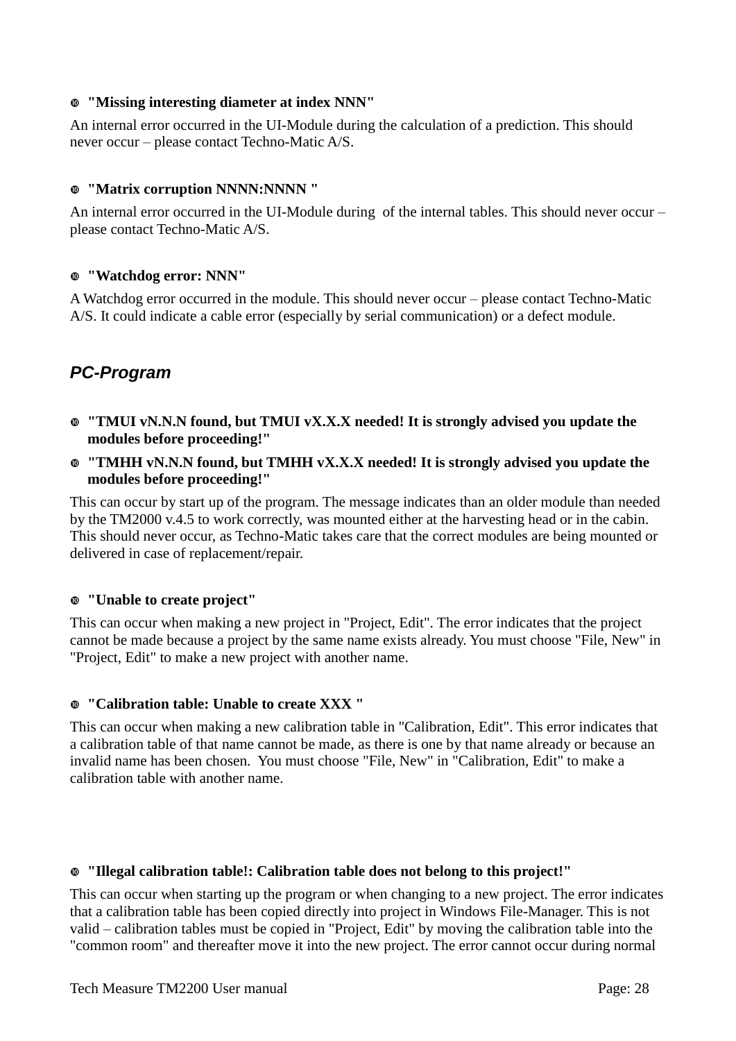### **"Missing interesting diameter at index NNN"**

An internal error occurred in the UI-Module during the calculation of a prediction. This should never occur – please contact Techno-Matic A/S.

### **"Matrix corruption NNNN:NNNN "**

An internal error occurred in the UI-Module during of the internal tables. This should never occur – please contact Techno-Matic A/S.

### **"Watchdog error: NNN"**

A Watchdog error occurred in the module. This should never occur – please contact Techno-Matic A/S. It could indicate a cable error (especially by serial communication) or a defect module.

# *PC-Program*

- **"TMUI vN.N.N found, but TMUI vX.X.X needed! It is strongly advised you update the modules before proceeding!"**
- **"TMHH vN.N.N found, but TMHH vX.X.X needed! It is strongly advised you update the modules before proceeding!"**

This can occur by start up of the program. The message indicates than an older module than needed by the TM2000 v.4.5 to work correctly, was mounted either at the harvesting head or in the cabin. This should never occur, as Techno-Matic takes care that the correct modules are being mounted or delivered in case of replacement/repair.

### **"Unable to create project"**

This can occur when making a new project in "Project, Edit". The error indicates that the project cannot be made because a project by the same name exists already. You must choose "File, New" in "Project, Edit" to make a new project with another name.

### **"Calibration table: Unable to create XXX "**

This can occur when making a new calibration table in "Calibration, Edit". This error indicates that a calibration table of that name cannot be made, as there is one by that name already or because an invalid name has been chosen. You must choose "File, New" in "Calibration, Edit" to make a calibration table with another name.

### **"Illegal calibration table!: Calibration table does not belong to this project!"**

This can occur when starting up the program or when changing to a new project. The error indicates that a calibration table has been copied directly into project in Windows File-Manager. This is not valid – calibration tables must be copied in "Project, Edit" by moving the calibration table into the "common room" and thereafter move it into the new project. The error cannot occur during normal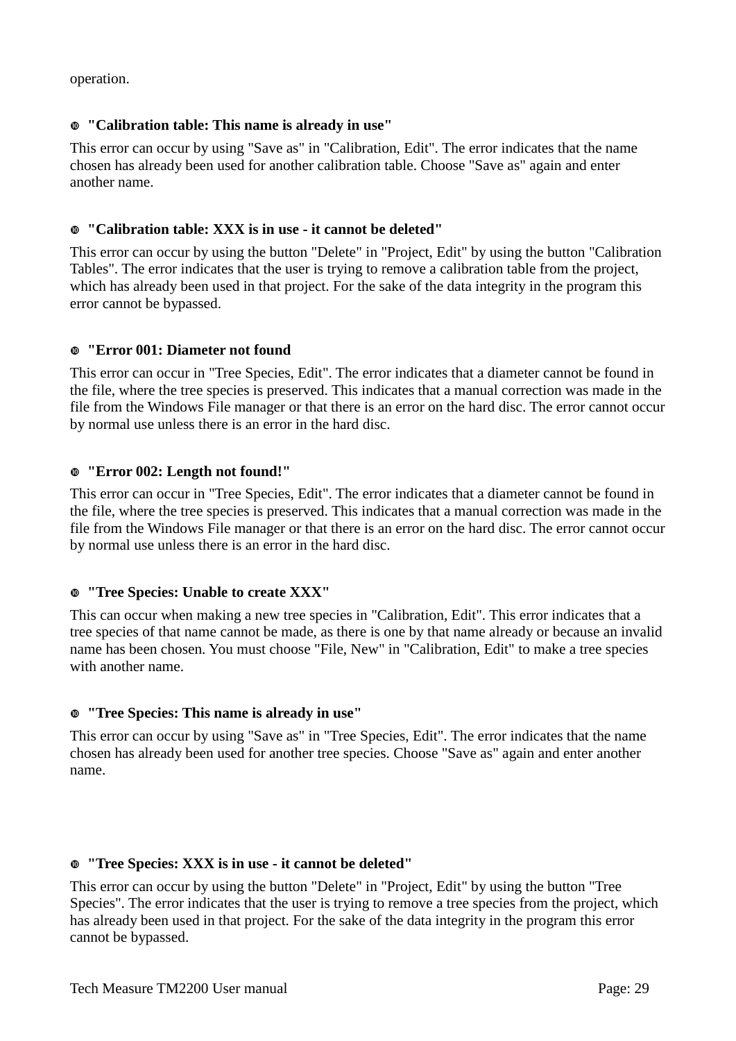operation.

### **"Calibration table: This name is already in use"**

This error can occur by using "Save as" in "Calibration, Edit". The error indicates that the name chosen has already been used for another calibration table. Choose "Save as" again and enter another name.

### **"Calibration table: XXX is in use - it cannot be deleted"**

This error can occur by using the button "Delete" in "Project, Edit" by using the button "Calibration Tables". The error indicates that the user is trying to remove a calibration table from the project, which has already been used in that project. For the sake of the data integrity in the program this error cannot be bypassed.

### **"Error 001: Diameter not found**

This error can occur in "Tree Species, Edit". The error indicates that a diameter cannot be found in the file, where the tree species is preserved. This indicates that a manual correction was made in the file from the Windows File manager or that there is an error on the hard disc. The error cannot occur by normal use unless there is an error in the hard disc.

### **"Error 002: Length not found!"**

This error can occur in "Tree Species, Edit". The error indicates that a diameter cannot be found in the file, where the tree species is preserved. This indicates that a manual correction was made in the file from the Windows File manager or that there is an error on the hard disc. The error cannot occur by normal use unless there is an error in the hard disc.

### **"Tree Species: Unable to create XXX"**

This can occur when making a new tree species in "Calibration, Edit". This error indicates that a tree species of that name cannot be made, as there is one by that name already or because an invalid name has been chosen. You must choose "File, New" in "Calibration, Edit" to make a tree species with another name.

### **"Tree Species: This name is already in use"**

This error can occur by using "Save as" in "Tree Species, Edit". The error indicates that the name chosen has already been used for another tree species. Choose "Save as" again and enter another name.

### **"Tree Species: XXX is in use - it cannot be deleted"**

This error can occur by using the button "Delete" in "Project, Edit" by using the button "Tree Species". The error indicates that the user is trying to remove a tree species from the project, which has already been used in that project. For the sake of the data integrity in the program this error cannot be bypassed.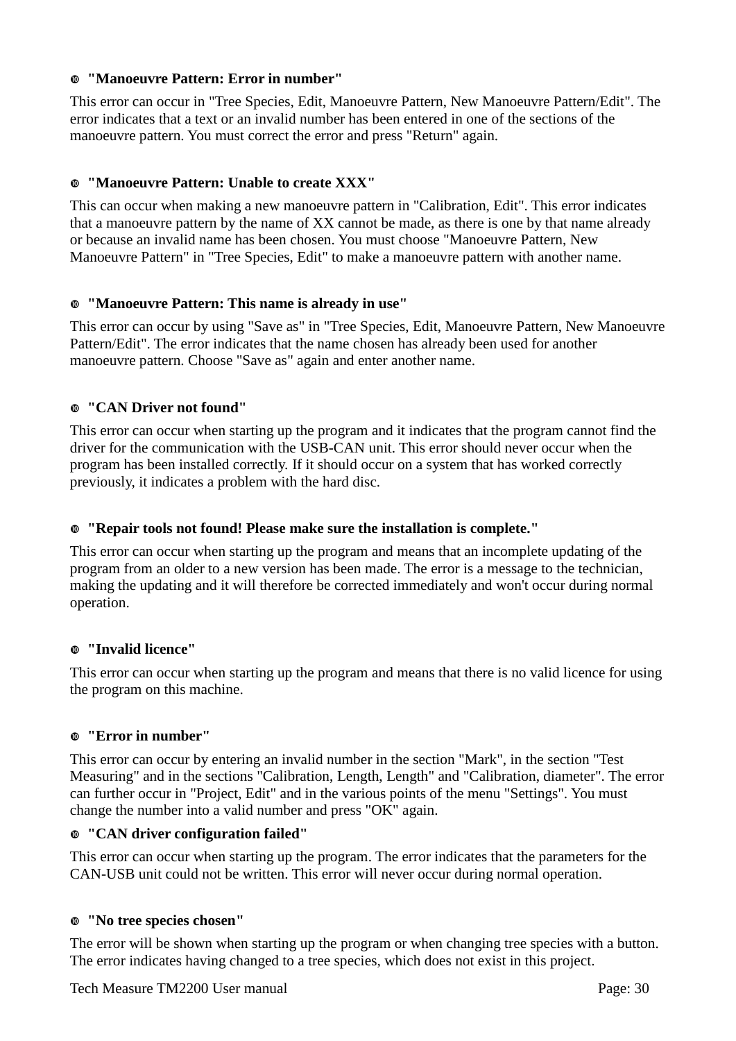### **"Manoeuvre Pattern: Error in number"**

This error can occur in "Tree Species, Edit, Manoeuvre Pattern, New Manoeuvre Pattern/Edit". The error indicates that a text or an invalid number has been entered in one of the sections of the manoeuvre pattern. You must correct the error and press "Return" again.

### **"Manoeuvre Pattern: Unable to create XXX"**

This can occur when making a new manoeuvre pattern in "Calibration, Edit". This error indicates that a manoeuvre pattern by the name of XX cannot be made, as there is one by that name already or because an invalid name has been chosen. You must choose "Manoeuvre Pattern, New Manoeuvre Pattern" in "Tree Species, Edit" to make a manoeuvre pattern with another name.

### **"Manoeuvre Pattern: This name is already in use"**

This error can occur by using "Save as" in "Tree Species, Edit, Manoeuvre Pattern, New Manoeuvre Pattern/Edit". The error indicates that the name chosen has already been used for another manoeuvre pattern. Choose "Save as" again and enter another name.

### **"CAN Driver not found"**

This error can occur when starting up the program and it indicates that the program cannot find the driver for the communication with the USB-CAN unit. This error should never occur when the program has been installed correctly. If it should occur on a system that has worked correctly previously, it indicates a problem with the hard disc.

### **"Repair tools not found! Please make sure the installation is complete."**

This error can occur when starting up the program and means that an incomplete updating of the program from an older to a new version has been made. The error is a message to the technician, making the updating and it will therefore be corrected immediately and won't occur during normal operation.

### **"Invalid licence"**

This error can occur when starting up the program and means that there is no valid licence for using the program on this machine.

### **"Error in number"**

This error can occur by entering an invalid number in the section "Mark", in the section "Test Measuring" and in the sections "Calibration, Length, Length" and "Calibration, diameter". The error can further occur in "Project, Edit" and in the various points of the menu "Settings". You must change the number into a valid number and press "OK" again.

### **"CAN driver configuration failed"**

This error can occur when starting up the program. The error indicates that the parameters for the CAN-USB unit could not be written. This error will never occur during normal operation.

### **"No tree species chosen"**

The error will be shown when starting up the program or when changing tree species with a button. The error indicates having changed to a tree species, which does not exist in this project.